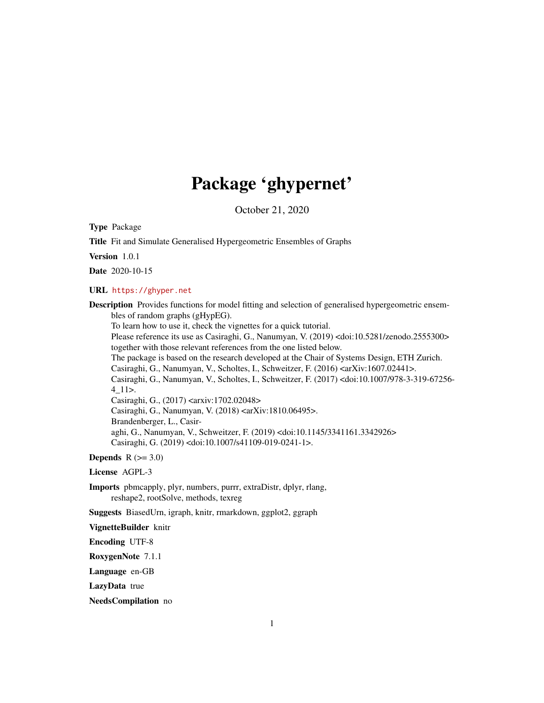# Package 'ghypernet'

October 21, 2020

Type Package

Title Fit and Simulate Generalised Hypergeometric Ensembles of Graphs

Version 1.0.1

Date 2020-10-15

URL <https://ghyper.net>

Description Provides functions for model fitting and selection of generalised hypergeometric ensembles of random graphs (gHypEG).

To learn how to use it, check the vignettes for a quick tutorial.

Please reference its use as Casiraghi, G., Nanumyan, V. (2019) <doi:10.5281/zenodo.2555300> together with those relevant references from the one listed below.

The package is based on the research developed at the Chair of Systems Design, ETH Zurich.

Casiraghi, G., Nanumyan, V., Scholtes, I., Schweitzer, F. (2016) <arXiv:1607.02441>.

Casiraghi, G., Nanumyan, V., Scholtes, I., Schweitzer, F. (2017) <doi:10.1007/978-3-319-67256- 4\_11>.

Casiraghi, G., (2017) <arxiv:1702.02048>

Casiraghi, G., Nanumyan, V. (2018) <arXiv:1810.06495>. Brandenberger, L., Casir-

aghi, G., Nanumyan, V., Schweitzer, F. (2019) <doi:10.1145/3341161.3342926> Casiraghi, G. (2019) <doi:10.1007/s41109-019-0241-1>.

**Depends**  $R$  ( $>= 3.0$ )

License AGPL-3

Imports pbmcapply, plyr, numbers, purrr, extraDistr, dplyr, rlang, reshape2, rootSolve, methods, texreg

Suggests BiasedUrn, igraph, knitr, rmarkdown, ggplot2, ggraph

VignetteBuilder knitr

Encoding UTF-8

RoxygenNote 7.1.1

Language en-GB

LazyData true

NeedsCompilation no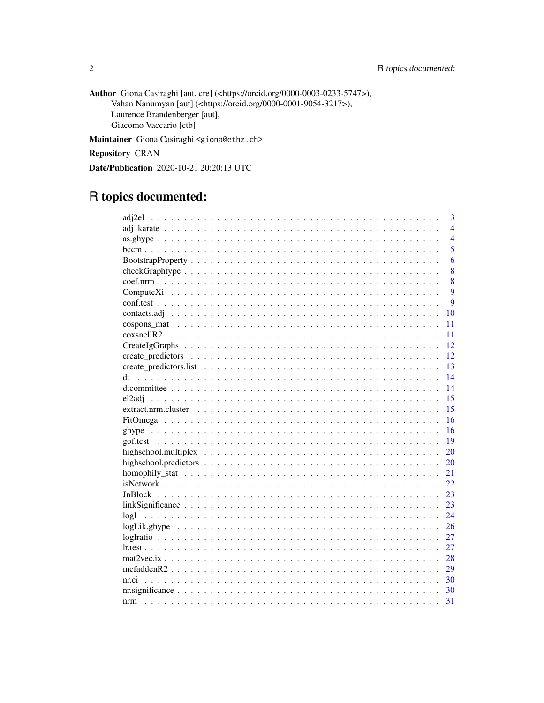Author Giona Casiraghi [aut, cre] (<https://orcid.org/0000-0003-0233-5747>), Vahan Nanumyan [aut] (<https://orcid.org/0000-0001-9054-3217>), Laurence Brandenberger [aut], Giacomo Vaccario [ctb]

Maintainer Giona Casiraghi <giona@ethz.ch>

Repository CRAN

Date/Publication 2020-10-21 20:20:13 UTC

# R topics documented:

|                                                                                                                        |  |  |  |  |  |  |  |  |  |  |  |  |  |  | $\overline{3}$ |
|------------------------------------------------------------------------------------------------------------------------|--|--|--|--|--|--|--|--|--|--|--|--|--|--|----------------|
|                                                                                                                        |  |  |  |  |  |  |  |  |  |  |  |  |  |  | $\overline{4}$ |
|                                                                                                                        |  |  |  |  |  |  |  |  |  |  |  |  |  |  | $\overline{4}$ |
|                                                                                                                        |  |  |  |  |  |  |  |  |  |  |  |  |  |  | 5              |
|                                                                                                                        |  |  |  |  |  |  |  |  |  |  |  |  |  |  | 6              |
| $checkGraphtype \dots \dots \dots \dots \dots \dots \dots \dots \dots \dots \dots \dots \dots \dots \dots \dots \dots$ |  |  |  |  |  |  |  |  |  |  |  |  |  |  | 8              |
|                                                                                                                        |  |  |  |  |  |  |  |  |  |  |  |  |  |  | 8              |
|                                                                                                                        |  |  |  |  |  |  |  |  |  |  |  |  |  |  | 9              |
|                                                                                                                        |  |  |  |  |  |  |  |  |  |  |  |  |  |  | $\overline{9}$ |
|                                                                                                                        |  |  |  |  |  |  |  |  |  |  |  |  |  |  | 10             |
|                                                                                                                        |  |  |  |  |  |  |  |  |  |  |  |  |  |  | 11             |
|                                                                                                                        |  |  |  |  |  |  |  |  |  |  |  |  |  |  | 11             |
|                                                                                                                        |  |  |  |  |  |  |  |  |  |  |  |  |  |  | 12             |
|                                                                                                                        |  |  |  |  |  |  |  |  |  |  |  |  |  |  | 12             |
|                                                                                                                        |  |  |  |  |  |  |  |  |  |  |  |  |  |  | 13             |
|                                                                                                                        |  |  |  |  |  |  |  |  |  |  |  |  |  |  | 14             |
|                                                                                                                        |  |  |  |  |  |  |  |  |  |  |  |  |  |  | 14             |
|                                                                                                                        |  |  |  |  |  |  |  |  |  |  |  |  |  |  | 15             |
|                                                                                                                        |  |  |  |  |  |  |  |  |  |  |  |  |  |  | 15             |
|                                                                                                                        |  |  |  |  |  |  |  |  |  |  |  |  |  |  | 16             |
|                                                                                                                        |  |  |  |  |  |  |  |  |  |  |  |  |  |  | 16             |
|                                                                                                                        |  |  |  |  |  |  |  |  |  |  |  |  |  |  | 19             |
|                                                                                                                        |  |  |  |  |  |  |  |  |  |  |  |  |  |  | 20             |
|                                                                                                                        |  |  |  |  |  |  |  |  |  |  |  |  |  |  | 20             |
|                                                                                                                        |  |  |  |  |  |  |  |  |  |  |  |  |  |  | 21             |
|                                                                                                                        |  |  |  |  |  |  |  |  |  |  |  |  |  |  | 22             |
|                                                                                                                        |  |  |  |  |  |  |  |  |  |  |  |  |  |  | 23             |
|                                                                                                                        |  |  |  |  |  |  |  |  |  |  |  |  |  |  | 23             |
|                                                                                                                        |  |  |  |  |  |  |  |  |  |  |  |  |  |  | 24             |
| $logLik.ghyper \ldots \ldots \ldots \ldots \ldots \ldots \ldots \ldots \ldots \ldots \ldots \ldots$                    |  |  |  |  |  |  |  |  |  |  |  |  |  |  | 26             |
|                                                                                                                        |  |  |  |  |  |  |  |  |  |  |  |  |  |  | 27             |
|                                                                                                                        |  |  |  |  |  |  |  |  |  |  |  |  |  |  | 27             |
|                                                                                                                        |  |  |  |  |  |  |  |  |  |  |  |  |  |  | 28             |
|                                                                                                                        |  |  |  |  |  |  |  |  |  |  |  |  |  |  | 29             |
|                                                                                                                        |  |  |  |  |  |  |  |  |  |  |  |  |  |  | 30             |
|                                                                                                                        |  |  |  |  |  |  |  |  |  |  |  |  |  |  | 30             |
|                                                                                                                        |  |  |  |  |  |  |  |  |  |  |  |  |  |  | 31             |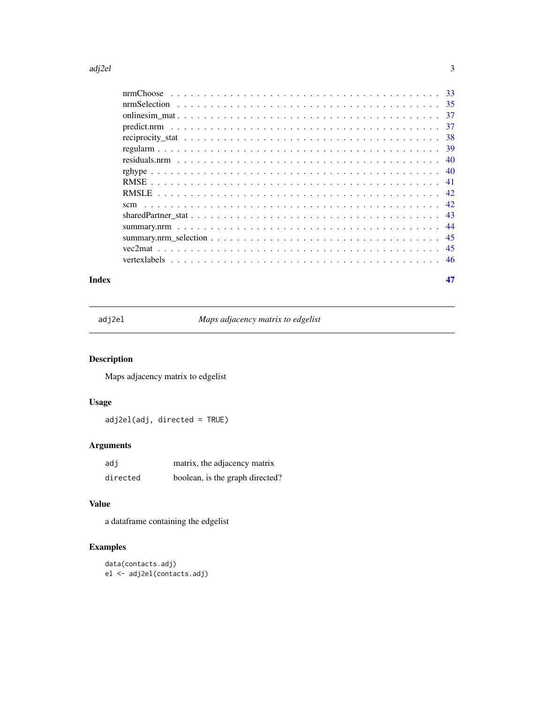#### <span id="page-2-0"></span>adj $2e$ l  $3$

| -37 |
|-----|
|     |
| -39 |
|     |
|     |
|     |
|     |
|     |
|     |
|     |
| -45 |
|     |
|     |
|     |

#### **Index** [47](#page-46-0)

adj2el *Maps adjacency matrix to edgelist*

# Description

Maps adjacency matrix to edgelist

# Usage

adj2el(adj, directed = TRUE)

# Arguments

| adi      | matrix, the adjacency matrix    |
|----------|---------------------------------|
| directed | boolean, is the graph directed? |

# Value

a dataframe containing the edgelist

# Examples

```
data(contacts.adj)
el <- adj2el(contacts.adj)
```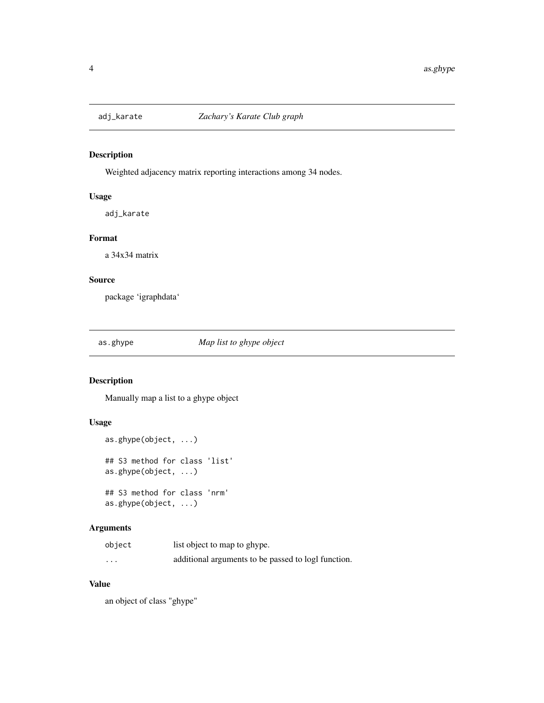<span id="page-3-0"></span>

Weighted adjacency matrix reporting interactions among 34 nodes.

# Usage

adj\_karate

#### Format

a 34x34 matrix

# Source

package 'igraphdata'

as.ghype *Map list to ghype object*

# Description

Manually map a list to a ghype object

# Usage

```
as.ghype(object, ...)
## S3 method for class 'list'
as.ghype(object, ...)
## S3 method for class 'nrm'
as.ghype(object, ...)
```
# Arguments

| object   | list object to map to ghype.                        |
|----------|-----------------------------------------------------|
| $\cdots$ | additional arguments to be passed to logl function. |

# Value

an object of class "ghype"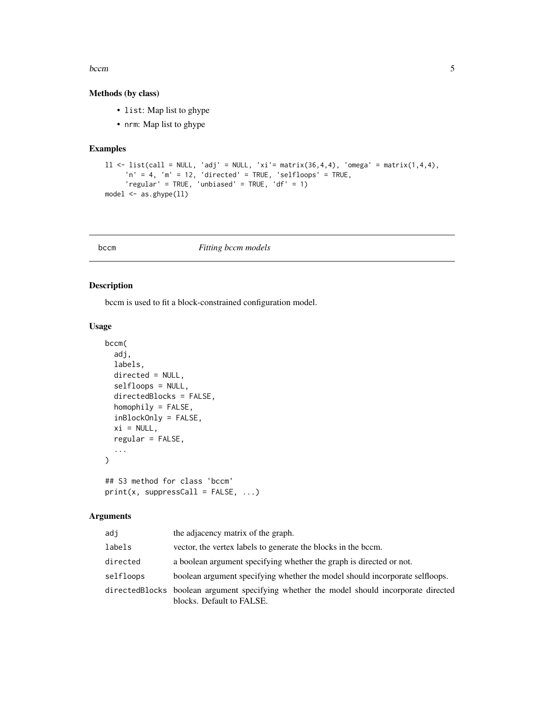#### <span id="page-4-0"></span>bccm 5

#### Methods (by class)

- list: Map list to ghype
- nrm: Map list to ghype

#### Examples

```
ll <- list(call = NULL, 'adj' = NULL, 'xi'= matrix(36,4,4), 'omega' = matrix(1,4,4),
     'n' = 4, 'm' = 12, 'directed' = TRUE, 'selfloops' = TRUE,
     'regular' = TRUE, 'unbiased' = TRUE, 'df' = 1)
model <- as.ghype(ll)
```
#### <span id="page-4-1"></span>bccm *Fitting bccm models*

#### Description

bccm is used to fit a block-constrained configuration model.

# Usage

```
bccm(
  adj,
  labels,
 directed = NULL,
  selfloops = NULL,
  directedBlocks = FALSE,
  homophily = FALSE,inBlockOnly = FALSE,
  xi = NULL,regular = FALSE,
  ...
\mathcal{L}## S3 method for class 'bccm'
print(x, suppressCall = FALSE, ...)
```
#### Arguments

| adj       | the adjacency matrix of the graph.                                                                                    |
|-----------|-----------------------------------------------------------------------------------------------------------------------|
| labels    | vector, the vertex labels to generate the blocks in the bccm.                                                         |
| directed  | a boolean argument specifying whether the graph is directed or not.                                                   |
| selfloops | boolean argument specifying whether the model should incorporate selfloops.                                           |
|           | directedBlocks boolean argument specifying whether the model should incorporate directed<br>blocks. Default to FALSE. |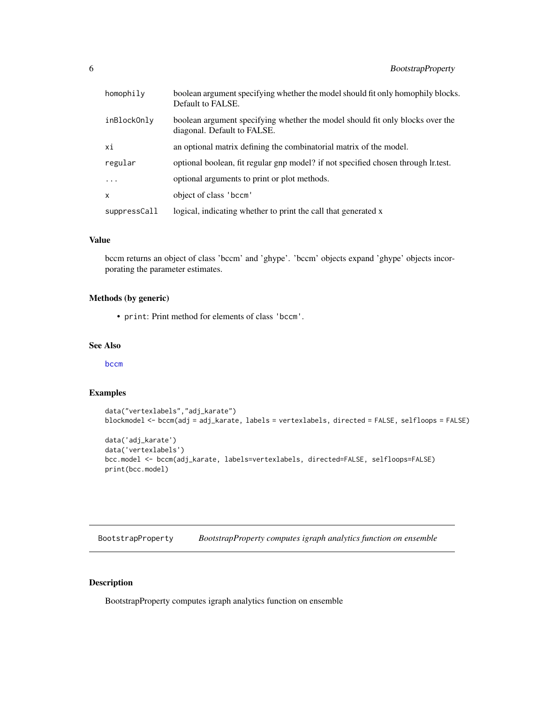<span id="page-5-0"></span>

| homophily    | boolean argument specifying whether the model should fit only homophily blocks.<br>Default to FALSE.         |
|--------------|--------------------------------------------------------------------------------------------------------------|
| inBlockOnly  | boolean argument specifying whether the model should fit only blocks over the<br>diagonal. Default to FALSE. |
| хi           | an optional matrix defining the combinatorial matrix of the model.                                           |
| regular      | optional boolean, fit regular gnp model? if not specified chosen through lr.test.                            |
| $\ddots$ .   | optional arguments to print or plot methods.                                                                 |
| $\mathsf{x}$ | object of class 'bccm'                                                                                       |
| suppressCall | logical, indicating whether to print the call that generated x                                               |

# Value

bccm returns an object of class 'bccm' and 'ghype'. 'bccm' objects expand 'ghype' objects incorporating the parameter estimates.

#### Methods (by generic)

• print: Print method for elements of class 'bccm'.

#### See Also

[bccm](#page-4-1)

#### Examples

```
data("vertexlabels","adj_karate")
blockmodel <- bccm(adj = adj_karate, labels = vertexlabels, directed = FALSE, selfloops = FALSE)
```

```
data('adj_karate')
data('vertexlabels')
bcc.model <- bccm(adj_karate, labels=vertexlabels, directed=FALSE, selfloops=FALSE)
print(bcc.model)
```
BootstrapProperty *BootstrapProperty computes igraph analytics function on ensemble*

# Description

BootstrapProperty computes igraph analytics function on ensemble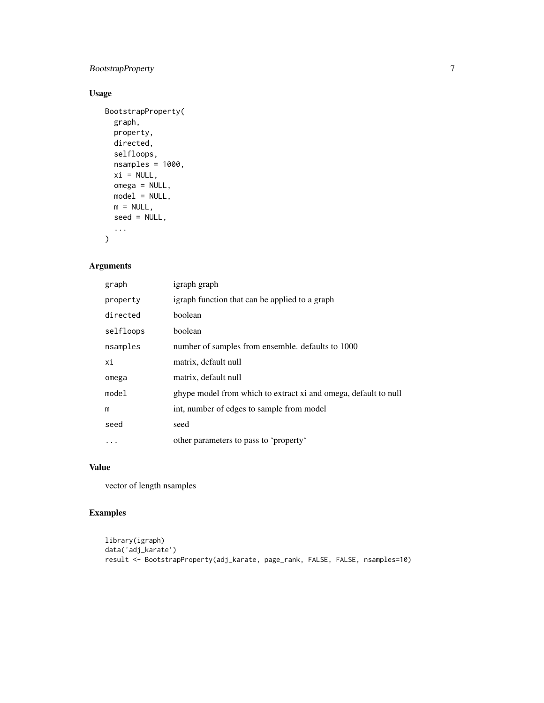# BootstrapProperty 7

# Usage

```
BootstrapProperty(
  graph,
  property,
  directed,
  selfloops,
  nsamples = 1000,
  xi = NULL,omega = NULL,
  model = NULL,
  m = NULL,seed = NULL,
  ...
\mathcal{L}
```
# Arguments

| graph     | igraph graph                                                    |
|-----------|-----------------------------------------------------------------|
| property  | igraph function that can be applied to a graph                  |
| directed  | boolean                                                         |
| selfloops | boolean                                                         |
| nsamples  | number of samples from ensemble. defaults to 1000               |
| хi        | matrix, default null                                            |
| omega     | matrix, default null                                            |
| model     | ghype model from which to extract xi and omega, default to null |
| m         | int, number of edges to sample from model                       |
| seed      | seed                                                            |
| .         | other parameters to pass to 'property'                          |

# Value

vector of length nsamples

# Examples

```
library(igraph)
data('adj_karate')
result <- BootstrapProperty(adj_karate, page_rank, FALSE, FALSE, nsamples=10)
```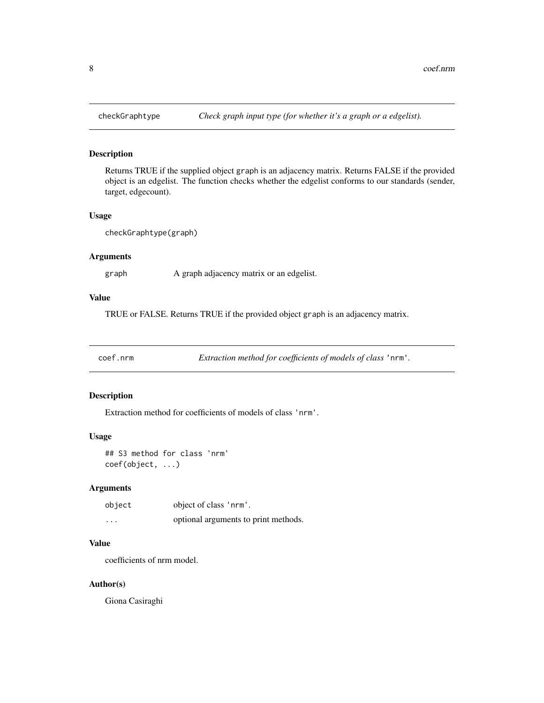Returns TRUE if the supplied object graph is an adjacency matrix. Returns FALSE if the provided object is an edgelist. The function checks whether the edgelist conforms to our standards (sender, target, edgecount).

#### Usage

checkGraphtype(graph)

#### Arguments

graph A graph adjacency matrix or an edgelist.

# Value

TRUE or FALSE. Returns TRUE if the provided object graph is an adjacency matrix.

coef.nrm *Extraction method for coefficients of models of class* 'nrm'*.*

#### Description

Extraction method for coefficients of models of class 'nrm'.

#### Usage

## S3 method for class 'nrm' coef(object, ...)

# Arguments

| object  | object of class 'nrm'.               |
|---------|--------------------------------------|
| $\cdot$ | optional arguments to print methods. |

#### Value

coefficients of nrm model.

#### Author(s)

Giona Casiraghi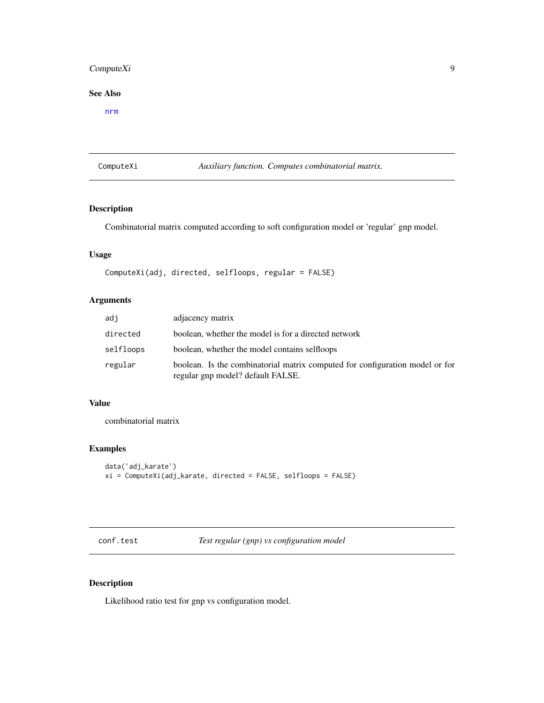# <span id="page-8-0"></span>ComputeXi 9

# See Also

[nrm](#page-30-1)

ComputeXi *Auxiliary function. Computes combinatorial matrix.*

# Description

Combinatorial matrix computed according to soft configuration model or 'regular' gnp model.

#### Usage

ComputeXi(adj, directed, selfloops, regular = FALSE)

# Arguments

| adi       | adjacency matrix                                                                                                  |
|-----------|-------------------------------------------------------------------------------------------------------------------|
| directed  | boolean, whether the model is for a directed network                                                              |
| selfloops | boolean, whether the model contains selfloops                                                                     |
| regular   | boolean. Is the combinatorial matrix computed for configuration model or for<br>regular gnp model? default FALSE. |

#### Value

combinatorial matrix

# Examples

```
data('adj_karate')
xi = ComputeXi(adj_karate, directed = FALSE, selfloops = FALSE)
```
conf.test *Test regular (gnp) vs configuration model*

# Description

Likelihood ratio test for gnp vs configuration model.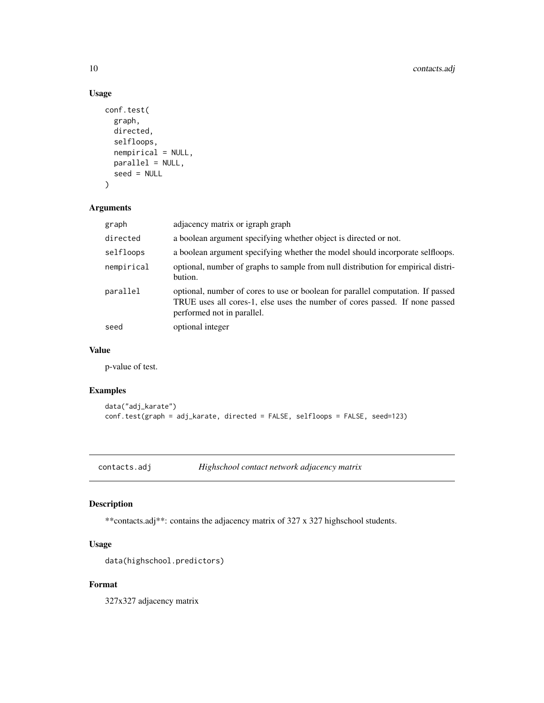# Usage

```
conf.test(
 graph,
 directed,
  selfloops,
 nempirical = NULL,
 parallel = NULL,
  seed = NULL
)
```
# Arguments

| graph      | adjacency matrix or igraph graph                                                                                                                                                             |
|------------|----------------------------------------------------------------------------------------------------------------------------------------------------------------------------------------------|
| directed   | a boolean argument specifying whether object is directed or not.                                                                                                                             |
| selfloops  | a boolean argument specifying whether the model should incorporate selfloops.                                                                                                                |
| nempirical | optional, number of graphs to sample from null distribution for empirical distri-<br>bution.                                                                                                 |
| parallel   | optional, number of cores to use or boolean for parallel computation. If passed<br>TRUE uses all cores-1, else uses the number of cores passed. If none passed<br>performed not in parallel. |
| seed       | optional integer                                                                                                                                                                             |

#### Value

p-value of test.

# Examples

```
data("adj_karate")
conf.test(graph = adj_karate, directed = FALSE, selfloops = FALSE, seed=123)
```
contacts.adj *Highschool contact network adjacency matrix*

# Description

\*\*contacts.adj\*\*: contains the adjacency matrix of 327 x 327 highschool students.

# Usage

```
data(highschool.predictors)
```
#### Format

327x327 adjacency matrix

<span id="page-9-0"></span>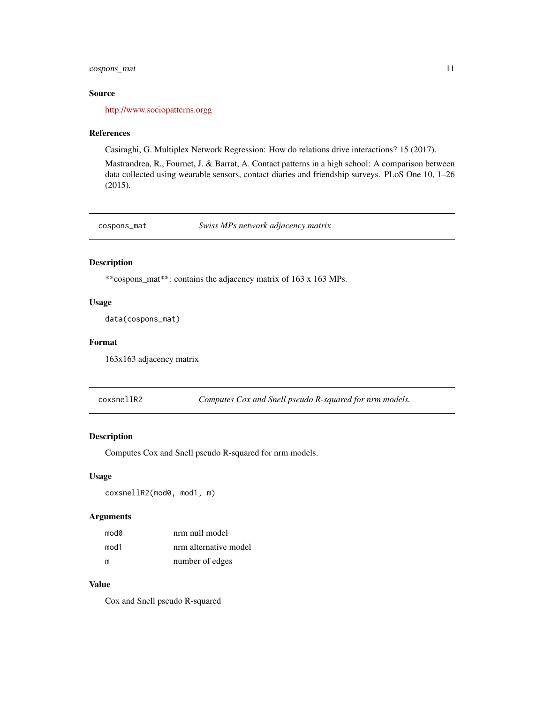# <span id="page-10-0"></span>cospons\_mat 11

#### Source

[http://www.sociopatterns.orgg](http://www.sociopatterns.org)

#### References

Casiraghi, G. Multiplex Network Regression: How do relations drive interactions? 15 (2017).

Mastrandrea, R., Fournet, J. & Barrat, A. Contact patterns in a high school: A comparison between data collected using wearable sensors, contact diaries and friendship surveys. PLoS One 10, 1–26 (2015).

cospons\_mat *Swiss MPs network adjacency matrix*

# Description

\*\*cospons\_mat\*\*: contains the adjacency matrix of 163 x 163 MPs.

# Usage

```
data(cospons_mat)
```
#### Format

163x163 adjacency matrix

coxsnellR2 *Computes Cox and Snell pseudo R-squared for nrm models.*

#### Description

Computes Cox and Snell pseudo R-squared for nrm models.

#### Usage

coxsnellR2(mod0, mod1, m)

#### Arguments

| mod0 | nrm null model        |
|------|-----------------------|
| mod1 | nrm alternative model |
| m    | number of edges       |

# Value

Cox and Snell pseudo R-squared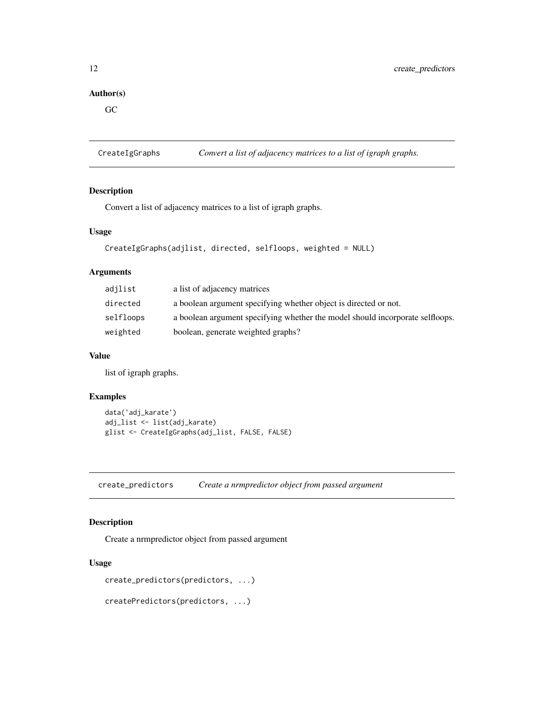# <span id="page-11-0"></span>Author(s)

GC

CreateIgGraphs *Convert a list of adjacency matrices to a list of igraph graphs.*

# Description

Convert a list of adjacency matrices to a list of igraph graphs.

#### Usage

```
CreateIgGraphs(adjlist, directed, selfloops, weighted = NULL)
```
#### Arguments

| adjlist   | a list of adjacency matrices                                                  |
|-----------|-------------------------------------------------------------------------------|
| directed  | a boolean argument specifying whether object is directed or not.              |
| selfloops | a boolean argument specifying whether the model should incorporate selfloops. |
| weighted  | boolean, generate weighted graphs?                                            |

#### Value

list of igraph graphs.

#### Examples

```
data('adj_karate')
adj_list <- list(adj_karate)
glist <- CreateIgGraphs(adj_list, FALSE, FALSE)
```
create\_predictors *Create a nrmpredictor object from passed argument*

# Description

Create a nrmpredictor object from passed argument

#### Usage

```
create_predictors(predictors, ...)
```

```
createPredictors(predictors, ...)
```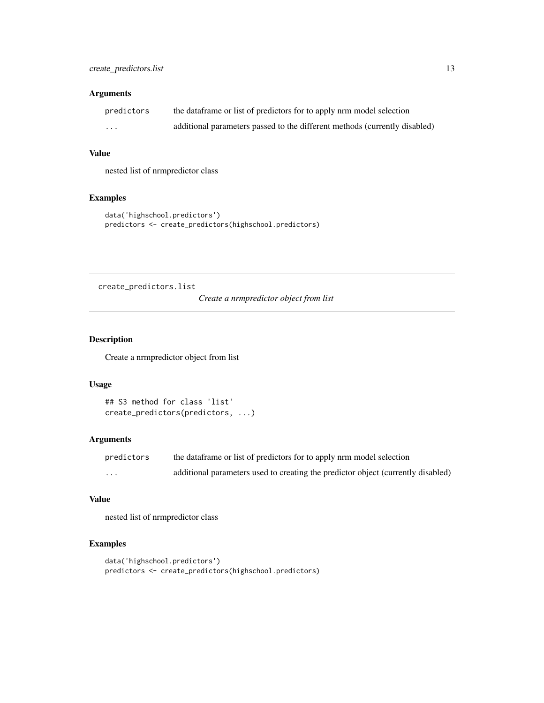#### <span id="page-12-0"></span>Arguments

| predictors | the data frame or list of predictors for to apply nrm model selection      |
|------------|----------------------------------------------------------------------------|
| .          | additional parameters passed to the different methods (currently disabled) |

#### Value

nested list of nrmpredictor class

# Examples

```
data('highschool.predictors')
predictors <- create_predictors(highschool.predictors)
```
create\_predictors.list

*Create a nrmpredictor object from list*

# Description

Create a nrmpredictor object from list

#### Usage

```
## S3 method for class 'list'
create_predictors(predictors, ...)
```
# Arguments

| predictors | the data frame or list of predictors for to apply nrm model selection            |
|------------|----------------------------------------------------------------------------------|
| $\cdots$   | additional parameters used to creating the predictor object (currently disabled) |

#### Value

nested list of nrmpredictor class

# Examples

```
data('highschool.predictors')
predictors <- create_predictors(highschool.predictors)
```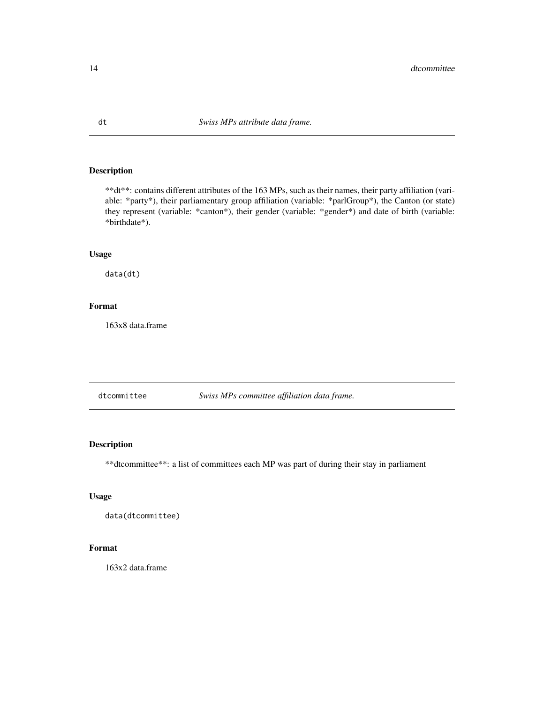\*\*dt\*\*: contains different attributes of the 163 MPs, such as their names, their party affiliation (variable: \*party\*), their parliamentary group affiliation (variable: \*parlGroup\*), the Canton (or state) they represent (variable: \*canton\*), their gender (variable: \*gender\*) and date of birth (variable: \*birthdate\*).

#### Usage

data(dt)

#### Format

163x8 data.frame

dtcommittee *Swiss MPs committee affiliation data frame.*

# Description

\*\*dtcommittee\*\*: a list of committees each MP was part of during their stay in parliament

#### Usage

```
data(dtcommittee)
```
# Format

163x2 data.frame

<span id="page-13-0"></span>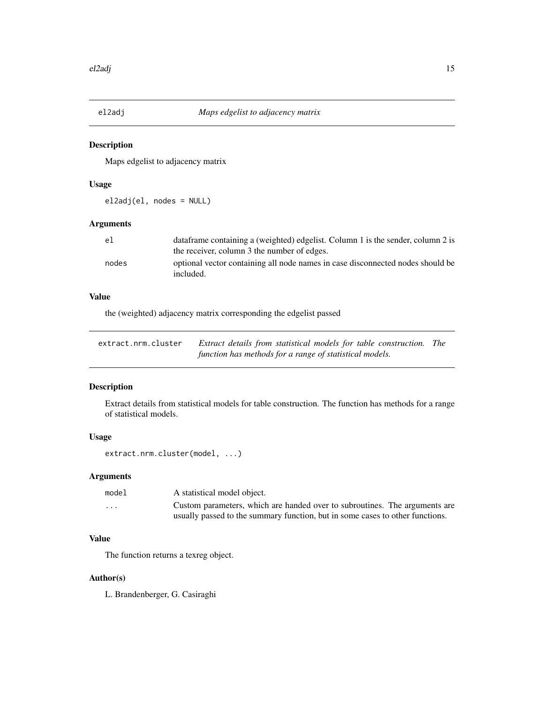<span id="page-14-0"></span>

Maps edgelist to adjacency matrix

#### Usage

el2adj(el, nodes = NULL)

# Arguments

| el.   | dataframe containing a (weighted) edgelist. Column 1 is the sender, column 2 is             |
|-------|---------------------------------------------------------------------------------------------|
|       | the receiver, column 3 the number of edges.                                                 |
| nodes | optional vector containing all node names in case disconnected nodes should be<br>included. |

# Value

the (weighted) adjacency matrix corresponding the edgelist passed

| extract.nrm.cluster | Extract details from statistical models for table construction. The |  |
|---------------------|---------------------------------------------------------------------|--|
|                     | function has methods for a range of statistical models.             |  |

#### Description

Extract details from statistical models for table construction. The function has methods for a range of statistical models.

# Usage

```
extract.nrm.cluster(model, ...)
```
# Arguments

| model   | A statistical model object.                                                   |
|---------|-------------------------------------------------------------------------------|
| $\cdot$ | Custom parameters, which are handed over to subroutines. The arguments are    |
|         | usually passed to the summary function, but in some cases to other functions. |

# Value

The function returns a texreg object.

#### Author(s)

L. Brandenberger, G. Casiraghi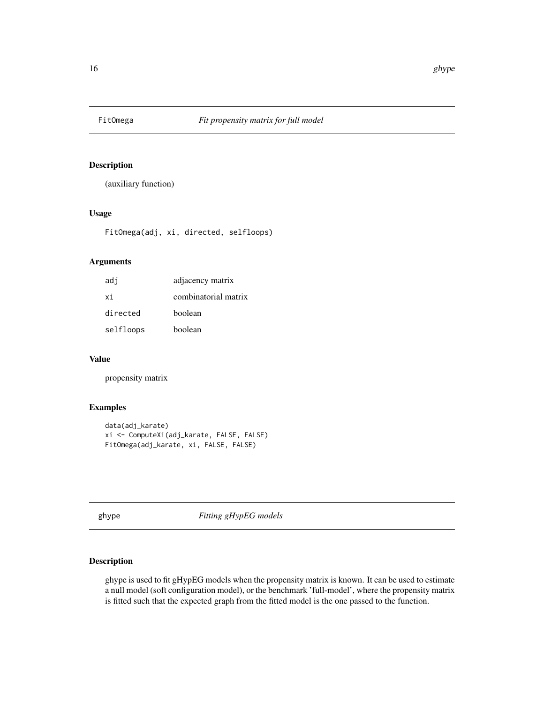<span id="page-15-0"></span>

(auxiliary function)

#### Usage

FitOmega(adj, xi, directed, selfloops)

#### Arguments

| adj       | adjacency matrix     |
|-----------|----------------------|
| xi        | combinatorial matrix |
| directed  | boolean              |
| selfloops | boolean              |

#### Value

propensity matrix

#### Examples

```
data(adj_karate)
xi <- ComputeXi(adj_karate, FALSE, FALSE)
FitOmega(adj_karate, xi, FALSE, FALSE)
```
<span id="page-15-1"></span>ghype *Fitting gHypEG models*

# Description

ghype is used to fit gHypEG models when the propensity matrix is known. It can be used to estimate a null model (soft configuration model), or the benchmark 'full-model', where the propensity matrix is fitted such that the expected graph from the fitted model is the one passed to the function.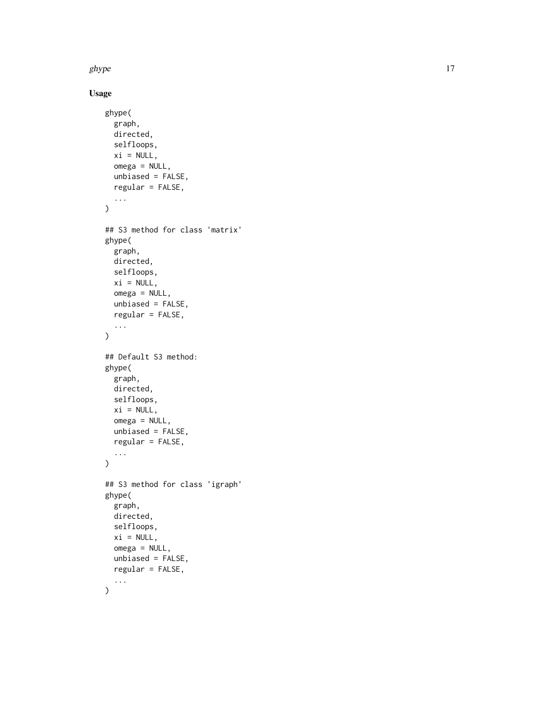ghype that the state of the state of the state of the state of the state of the state of the state of the state of the state of the state of the state of the state of the state of the state of the state of the state of the

Usage

```
ghype(
  graph,
 directed,
  selfloops,
 xi = NULL,omega = NULL,unbiased = FALSE,
 regular = FALSE,
  ...
\mathcal{L}## S3 method for class 'matrix'
ghype(
 graph,
 directed,
 selfloops,
 xi = NULL,omega = NULL,
 unbiased = FALSE,
  regular = FALSE,
  ...
)
## Default S3 method:
ghype(
 graph,
 directed,
 selfloops,
 xi = NULL,omega = NULL,
 unbiased = FALSE,
  regular = FALSE,
  ...
\mathcal{L}## S3 method for class 'igraph'
ghype(
 graph,
 directed,
  selfloops,
 xi = NULL,omega = NULL,
 unbiased = FALSE,
  regular = FALSE,
  ...
\mathcal{L}
```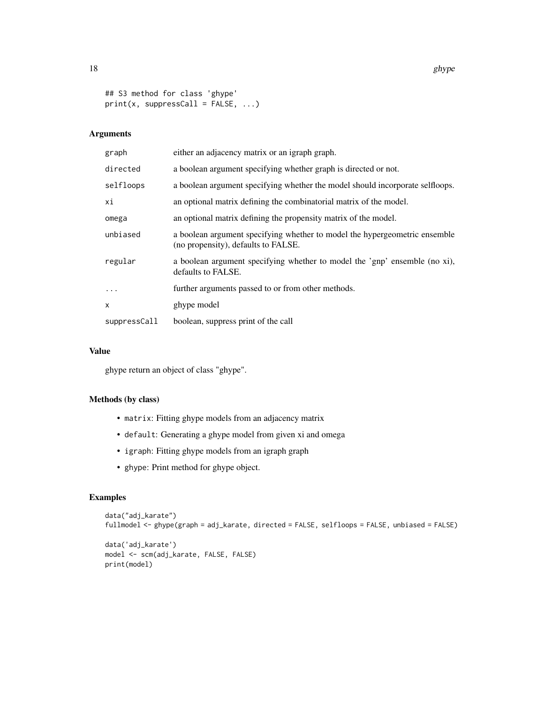```
## S3 method for class 'ghype'
print(x, suppressCall = FALSE, ...)
```
# Arguments

| graph        | either an adjacency matrix or an igraph graph.                                                                    |
|--------------|-------------------------------------------------------------------------------------------------------------------|
| directed     | a boolean argument specifying whether graph is directed or not.                                                   |
| selfloops    | a boolean argument specifying whether the model should incorporate selfloops.                                     |
| хi           | an optional matrix defining the combinatorial matrix of the model.                                                |
| omega        | an optional matrix defining the propensity matrix of the model.                                                   |
| unbiased     | a boolean argument specifying whether to model the hypergeometric ensemble<br>(no propensity), defaults to FALSE. |
| regular      | a boolean argument specifying whether to model the 'gnp' ensemble (no xi),<br>defaults to FALSE.                  |
| $\cdots$     | further arguments passed to or from other methods.                                                                |
| x            | ghype model                                                                                                       |
| suppressCall | boolean, suppress print of the call                                                                               |

#### Value

ghype return an object of class "ghype".

# Methods (by class)

- matrix: Fitting ghype models from an adjacency matrix
- default: Generating a ghype model from given xi and omega
- igraph: Fitting ghype models from an igraph graph
- ghype: Print method for ghype object.

# Examples

```
data("adj_karate")
fullmodel <- ghype(graph = adj_karate, directed = FALSE, selfloops = FALSE, unbiased = FALSE)
data('adj_karate')
model <- scm(adj_karate, FALSE, FALSE)
print(model)
```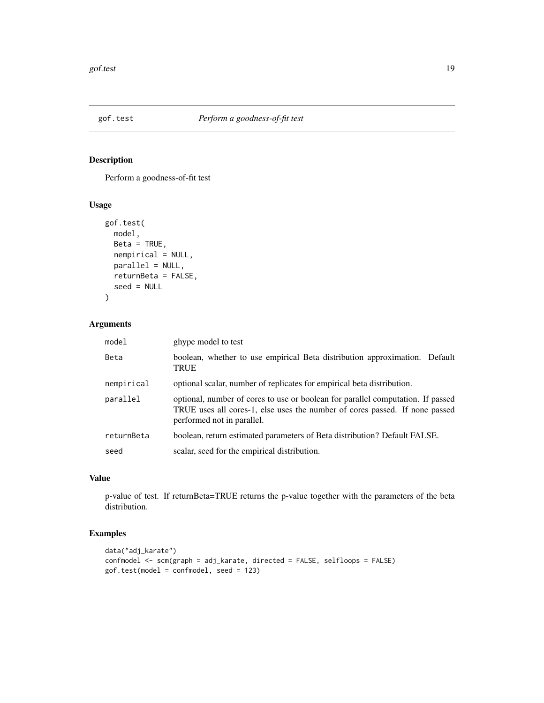<span id="page-18-0"></span>

Perform a goodness-of-fit test

# Usage

```
gof.test(
 model,
 Beta = TRUE,nempirical = NULL,
 parallel = NULL,
 returnBeta = FALSE,
  seed = NULL
)
```
# Arguments

| model      | ghype model to test                                                                                                                                                                          |
|------------|----------------------------------------------------------------------------------------------------------------------------------------------------------------------------------------------|
| Beta       | boolean, whether to use empirical Beta distribution approximation. Default<br>TRUE                                                                                                           |
| nempirical | optional scalar, number of replicates for empirical beta distribution.                                                                                                                       |
| parallel   | optional, number of cores to use or boolean for parallel computation. If passed<br>TRUE uses all cores-1, else uses the number of cores passed. If none passed<br>performed not in parallel. |
| returnBeta | boolean, return estimated parameters of Beta distribution? Default FALSE.                                                                                                                    |
| seed       | scalar, seed for the empirical distribution.                                                                                                                                                 |

# Value

p-value of test. If returnBeta=TRUE returns the p-value together with the parameters of the beta distribution.

# Examples

```
data("adj_karate")
confmodel <- scm(graph = adj_karate, directed = FALSE, selfloops = FALSE)
gof.test(model = confmodel, seed = 123)
```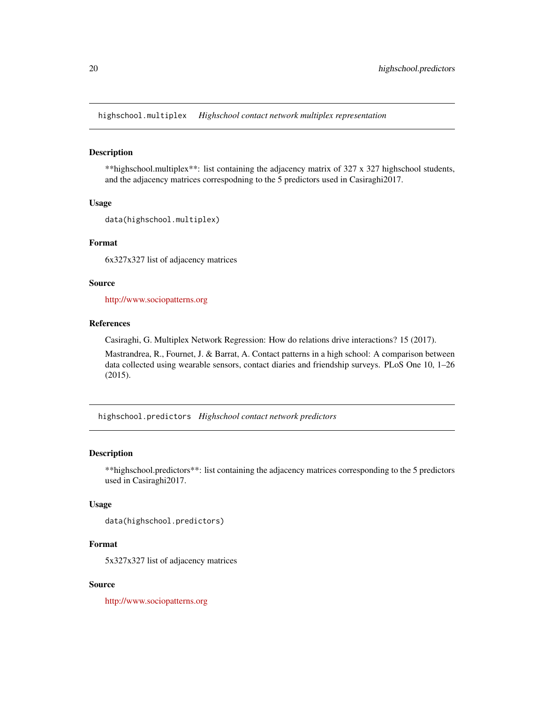<span id="page-19-0"></span>highschool.multiplex *Highschool contact network multiplex representation*

#### Description

\*\*highschool.multiplex\*\*: list containing the adjacency matrix of 327 x 327 highschool students, and the adjacency matrices correspodning to the 5 predictors used in Casiraghi2017.

#### Usage

```
data(highschool.multiplex)
```
#### Format

6x327x327 list of adjacency matrices

#### Source

<http://www.sociopatterns.org>

#### References

Casiraghi, G. Multiplex Network Regression: How do relations drive interactions? 15 (2017).

Mastrandrea, R., Fournet, J. & Barrat, A. Contact patterns in a high school: A comparison between data collected using wearable sensors, contact diaries and friendship surveys. PLoS One 10, 1–26 (2015).

highschool.predictors *Highschool contact network predictors*

# Description

\*\*highschool.predictors\*\*: list containing the adjacency matrices corresponding to the 5 predictors used in Casiraghi2017.

#### Usage

data(highschool.predictors)

# Format

5x327x327 list of adjacency matrices

#### Source

<http://www.sociopatterns.org>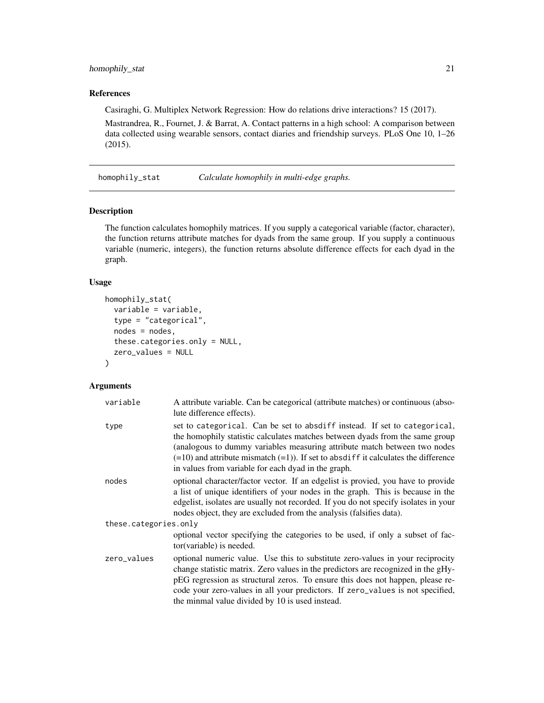# <span id="page-20-0"></span>homophily\_stat 21

#### References

Casiraghi, G. Multiplex Network Regression: How do relations drive interactions? 15 (2017).

Mastrandrea, R., Fournet, J. & Barrat, A. Contact patterns in a high school: A comparison between data collected using wearable sensors, contact diaries and friendship surveys. PLoS One 10, 1–26 (2015).

<span id="page-20-1"></span>homophily\_stat *Calculate homophily in multi-edge graphs.*

#### Description

The function calculates homophily matrices. If you supply a categorical variable (factor, character), the function returns attribute matches for dyads from the same group. If you supply a continuous variable (numeric, integers), the function returns absolute difference effects for each dyad in the graph.

#### Usage

```
homophily_stat(
  variable = variable,
  type = "categorical",
  nodes = nodes,
  these.categories.only = NULL,
  zero_values = NULL
)
```
# Arguments

| variable              | A attribute variable. Can be categorical (attribute matches) or continuous (abso-<br>lute difference effects).                                                                                                                                                                                                                                                                             |  |
|-----------------------|--------------------------------------------------------------------------------------------------------------------------------------------------------------------------------------------------------------------------------------------------------------------------------------------------------------------------------------------------------------------------------------------|--|
| type                  | set to categorical. Can be set to absdiff instead. If set to categorical,<br>the homophily statistic calculates matches between dyads from the same group<br>(analogous to dummy variables measuring attribute match between two nodes<br>$(=10)$ and attribute mismatch $(=1)$ ). If set to absdiff it calculates the difference<br>in values from variable for each dyad in the graph.   |  |
| nodes                 | optional character/factor vector. If an edgelist is provied, you have to provide<br>a list of unique identifiers of your nodes in the graph. This is because in the<br>edgelist, isolates are usually not recorded. If you do not specify isolates in your<br>nodes object, they are excluded from the analysis (falsifies data).                                                          |  |
| these.categories.only |                                                                                                                                                                                                                                                                                                                                                                                            |  |
|                       | optional vector specifying the categories to be used, if only a subset of fac-<br>tor(variable) is needed.                                                                                                                                                                                                                                                                                 |  |
| zero_values           | optional numeric value. Use this to substitute zero-values in your reciprocity<br>change statistic matrix. Zero values in the predictors are recognized in the gHy-<br>pEG regression as structural zeros. To ensure this does not happen, please re-<br>code your zero-values in all your predictors. If zero_values is not specified,<br>the minmal value divided by 10 is used instead. |  |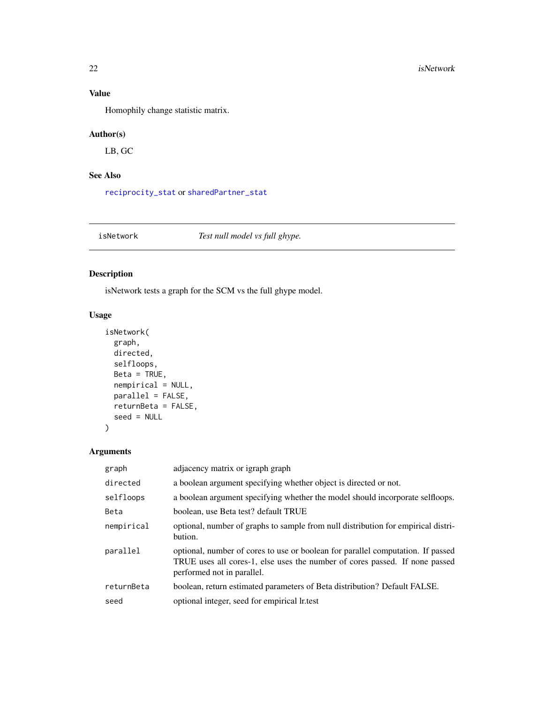# Value

Homophily change statistic matrix.

# Author(s)

LB, GC

# See Also

[reciprocity\\_stat](#page-37-1) or [sharedPartner\\_stat](#page-42-1)

isNetwork *Test null model vs full ghype.*

# Description

isNetwork tests a graph for the SCM vs the full ghype model.

# Usage

```
isNetwork(
 graph,
 directed,
 selfloops,
 Beta = TRUE,
 nempirical = NULL,
 parallel = FALSE,
 returnBeta = FALSE,
  seed = NULL
)
```
# Arguments

| graph      | adjacency matrix or igraph graph                                                                                                                                                             |
|------------|----------------------------------------------------------------------------------------------------------------------------------------------------------------------------------------------|
| directed   | a boolean argument specifying whether object is directed or not.                                                                                                                             |
| selfloops  | a boolean argument specifying whether the model should incorporate selfloops.                                                                                                                |
| Beta       | boolean, use Beta test? default TRUE                                                                                                                                                         |
| nempirical | optional, number of graphs to sample from null distribution for empirical distri-<br>bution.                                                                                                 |
| parallel   | optional, number of cores to use or boolean for parallel computation. If passed<br>TRUE uses all cores-1, else uses the number of cores passed. If none passed<br>performed not in parallel. |
| returnBeta | boolean, return estimated parameters of Beta distribution? Default FALSE.                                                                                                                    |
| seed       | optional integer, seed for empirical lr.test                                                                                                                                                 |

<span id="page-21-0"></span>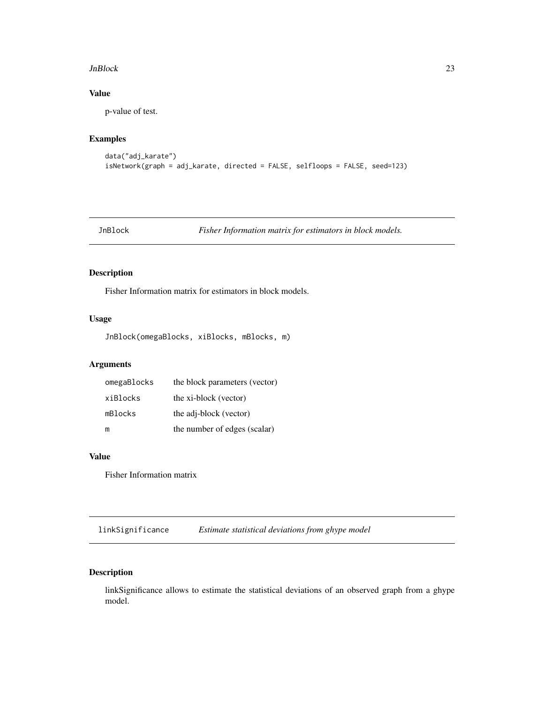#### <span id="page-22-0"></span>JnBlock 23

# Value

p-value of test.

# Examples

```
data("adj_karate")
isNetwork(graph = adj_karate, directed = FALSE, selfloops = FALSE, seed=123)
```
JnBlock *Fisher Information matrix for estimators in block models.*

# Description

Fisher Information matrix for estimators in block models.

# Usage

JnBlock(omegaBlocks, xiBlocks, mBlocks, m)

# Arguments

| omegaBlocks | the block parameters (vector) |
|-------------|-------------------------------|
| xiBlocks    | the xi-block (vector)         |
| mBlocks     | the adj-block (vector)        |
| m           | the number of edges (scalar)  |

# Value

Fisher Information matrix

linkSignificance *Estimate statistical deviations from ghype model*

# Description

linkSignificance allows to estimate the statistical deviations of an observed graph from a ghype model.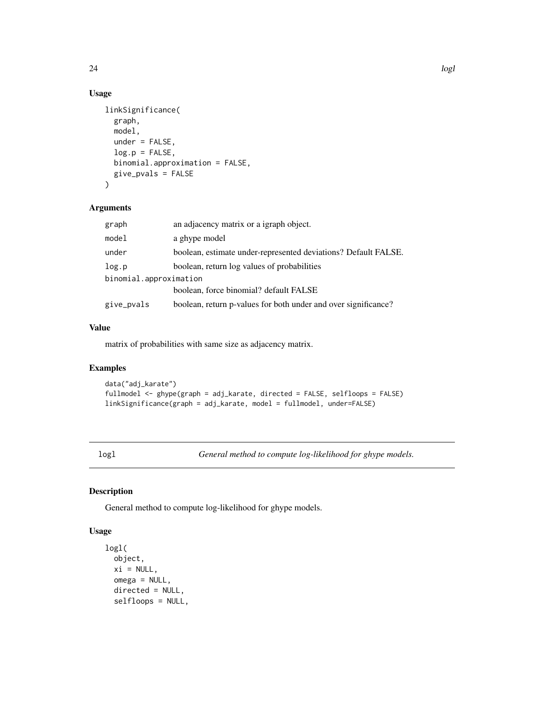# Usage

```
linkSignificance(
 graph,
 model,
 under = FALSE,
  log.p = FALSE,binomial.approximation = FALSE,
 give_pvals = FALSE
)
```
#### Arguments

| graph                  | an adjacency matrix or a igraph object.                        |  |
|------------------------|----------------------------------------------------------------|--|
| model                  | a ghype model                                                  |  |
| under                  | boolean, estimate under-represented deviations? Default FALSE. |  |
| log.p                  | boolean, return log values of probabilities                    |  |
| binomial.approximation |                                                                |  |
|                        | boolean, force binomial? default FALSE                         |  |
| give_pvals             | boolean, return p-values for both under and over significance? |  |

# Value

matrix of probabilities with same size as adjacency matrix.

#### Examples

```
data("adj_karate")
fullmodel <- ghype(graph = adj_karate, directed = FALSE, selfloops = FALSE)
linkSignificance(graph = adj_karate, model = fullmodel, under=FALSE)
```
logl *General method to compute log-likelihood for ghype models.*

# Description

General method to compute log-likelihood for ghype models.

# Usage

```
logl(
 object,
 xi = NULL,omega = NULL,
 directed = NULL,
  selfloops = NULL,
```
<span id="page-23-0"></span>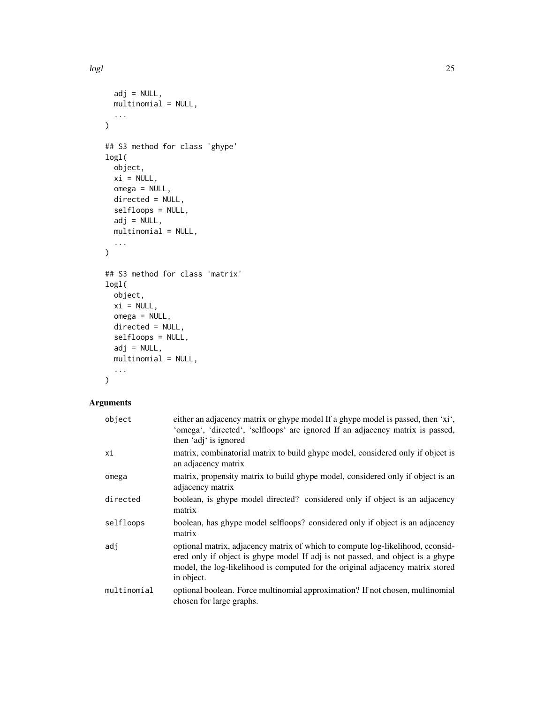```
adj = NULL,multinomial = NULL,
  ...
\lambda## S3 method for class 'ghype'
logl(
 object,
 xi = NULL,omega = NULL,
 directed = NULL,
 selfloops = NULL,
 adj = NULL,multinomial = NULL,
  ...
)
## S3 method for class 'matrix'
logl(
 object,
 xi = NULL,omega = NULL,directed = NULL,
  selfloops = NULL,
 adj = NULL,multinomial = NULL,
 ...
\mathcal{L}
```
# Arguments

| object      | either an adjacency matrix or ghype model If a ghype model is passed, then 'xi',<br>'omega', 'directed', 'selfloops' are ignored If an adjacency matrix is passed,<br>then 'adj' is ignored                                                                      |
|-------------|------------------------------------------------------------------------------------------------------------------------------------------------------------------------------------------------------------------------------------------------------------------|
| хi          | matrix, combinatorial matrix to build ghype model, considered only if object is<br>an adjacency matrix                                                                                                                                                           |
| omega       | matrix, propensity matrix to build ghype model, considered only if object is an<br>adjacency matrix                                                                                                                                                              |
| directed    | boolean, is ghype model directed? considered only if object is an adjacency<br>matrix                                                                                                                                                                            |
| selfloops   | boolean, has ghype model selfloops? considered only if object is an adjacency<br>matrix                                                                                                                                                                          |
| adj         | optional matrix, adjacency matrix of which to compute log-likelihood, cconsid-<br>ered only if object is ghype model If adj is not passed, and object is a ghype<br>model, the log-likelihood is computed for the original adjacency matrix stored<br>in object. |
| multinomial | optional boolean. Force multinomial approximation? If not chosen, multinomial<br>chosen for large graphs.                                                                                                                                                        |

logl and the contract of the contract of the contract of the contract of the contract of the contract of the contract of the contract of the contract of the contract of the contract of the contract of the contract of the c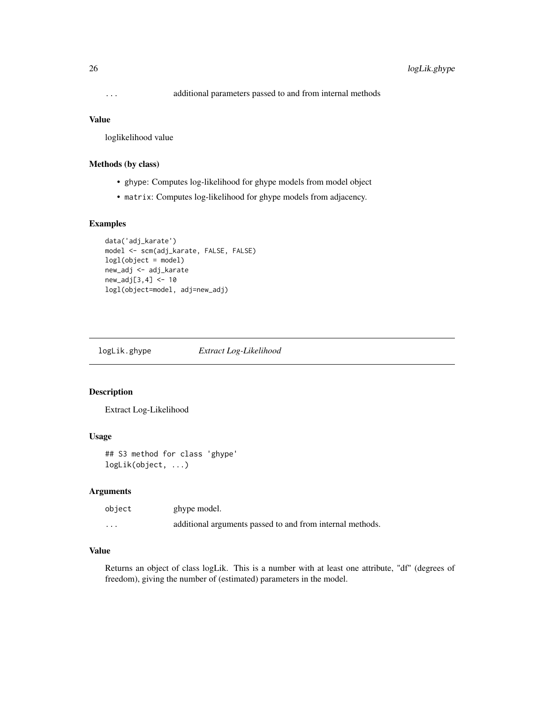#### <span id="page-25-0"></span>Value

loglikelihood value

#### Methods (by class)

- ghype: Computes log-likelihood for ghype models from model object
- matrix: Computes log-likelihood for ghype models from adjacency.

# Examples

```
data('adj_karate')
model <- scm(adj_karate, FALSE, FALSE)
logl(object = model)
new_adj <- adj_karate
new_adj[3,4] <- 10
logl(object=model, adj=new_adj)
```
logLik.ghype *Extract Log-Likelihood*

#### Description

Extract Log-Likelihood

# Usage

## S3 method for class 'ghype' logLik(object, ...)

#### Arguments

| object   | ghype model.                                              |
|----------|-----------------------------------------------------------|
| $\cdots$ | additional arguments passed to and from internal methods. |

#### Value

Returns an object of class logLik. This is a number with at least one attribute, "df" (degrees of freedom), giving the number of (estimated) parameters in the model.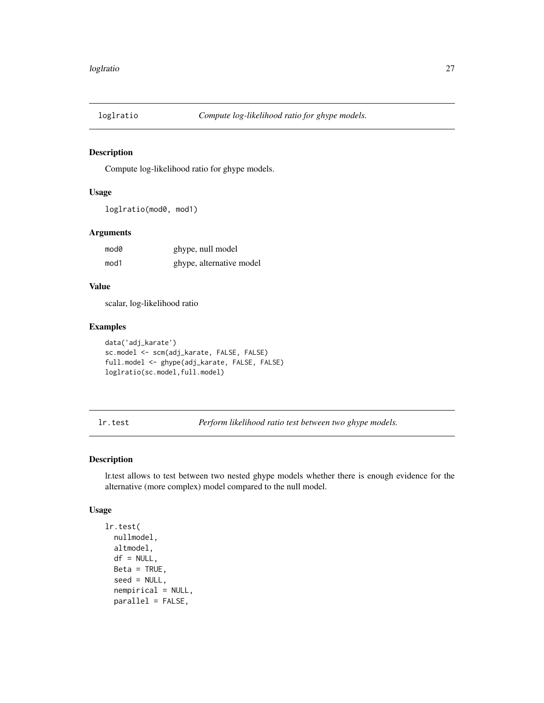<span id="page-26-0"></span>

Compute log-likelihood ratio for ghype models.

#### Usage

```
loglratio(mod0, mod1)
```
# Arguments

| mod0 | ghype, null model        |
|------|--------------------------|
| mod1 | ghype, alternative model |

#### Value

scalar, log-likelihood ratio

# Examples

```
data('adj_karate')
sc.model <- scm(adj_karate, FALSE, FALSE)
full.model <- ghype(adj_karate, FALSE, FALSE)
loglratio(sc.model,full.model)
```
lr.test *Perform likelihood ratio test between two ghype models.*

#### Description

lr.test allows to test between two nested ghype models whether there is enough evidence for the alternative (more complex) model compared to the null model.

#### Usage

```
lr.test(
  nullmodel,
 altmodel,
  df = NULL,Beta = TRUE,
  seed = NULL,
  nempirical = NULL,
 parallel = FALSE,
```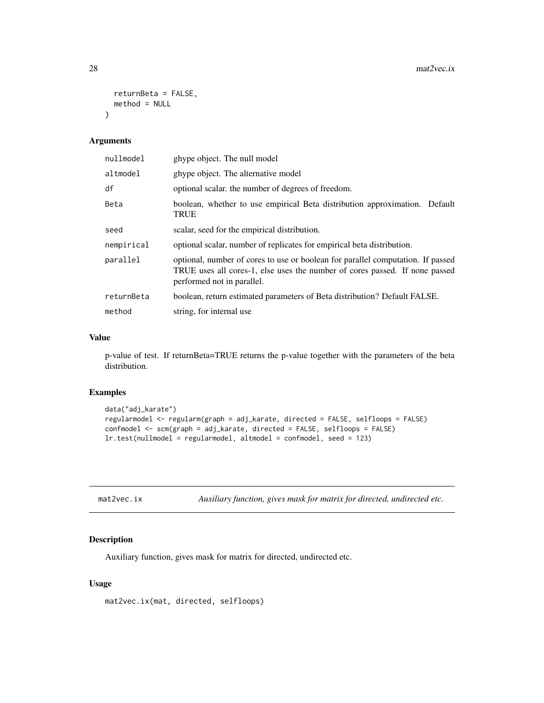```
returnBeta = FALSE,
 method = NULL
\lambda
```
# Arguments

| nullmodel  | ghype object. The null model                                                                                                                                                                 |
|------------|----------------------------------------------------------------------------------------------------------------------------------------------------------------------------------------------|
| altmodel   | ghype object. The alternative model                                                                                                                                                          |
| df         | optional scalar, the number of degrees of freedom.                                                                                                                                           |
| Beta       | boolean, whether to use empirical Beta distribution approximation. Default<br><b>TRUE</b>                                                                                                    |
| seed       | scalar, seed for the empirical distribution.                                                                                                                                                 |
| nempirical | optional scalar, number of replicates for empirical beta distribution.                                                                                                                       |
| parallel   | optional, number of cores to use or boolean for parallel computation. If passed<br>TRUE uses all cores-1, else uses the number of cores passed. If none passed<br>performed not in parallel. |
| returnBeta | boolean, return estimated parameters of Beta distribution? Default FALSE.                                                                                                                    |
| method     | string, for internal use                                                                                                                                                                     |

#### Value

p-value of test. If returnBeta=TRUE returns the p-value together with the parameters of the beta distribution.

# Examples

```
data("adj_karate")
regularmodel <- regularm(graph = adj_karate, directed = FALSE, selfloops = FALSE)
confmodel <- scm(graph = adj_karate, directed = FALSE, selfloops = FALSE)
lr.test(nullmodel = regularmodel, altmodel = confmodel, seed = 123)
```

| mat2vec.ix | Auxiliary function, gives mask for matrix for directed, undirected etc. |  |
|------------|-------------------------------------------------------------------------|--|
|            |                                                                         |  |

#### Description

Auxiliary function, gives mask for matrix for directed, undirected etc.

#### Usage

mat2vec.ix(mat, directed, selfloops)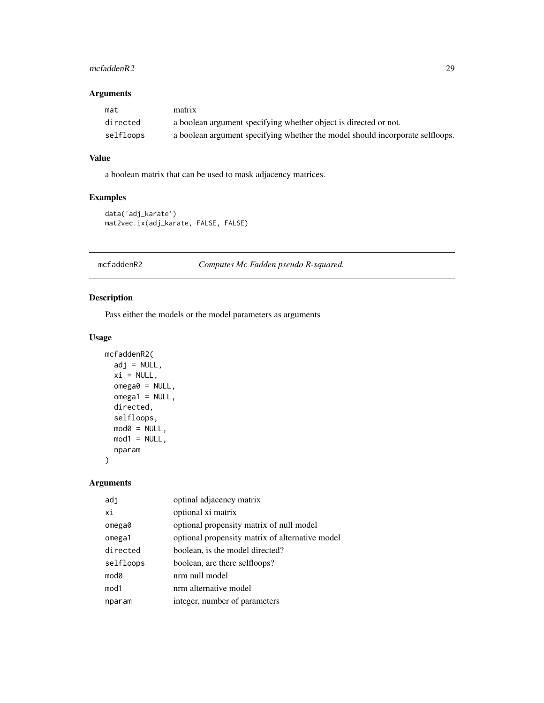# <span id="page-28-0"></span>mcfaddenR2 29

# Arguments

| mat       | matrix                                                                        |
|-----------|-------------------------------------------------------------------------------|
| directed  | a boolean argument specifying whether object is directed or not.              |
| selfloops | a boolean argument specifying whether the model should incorporate selfloops. |

# Value

a boolean matrix that can be used to mask adjacency matrices.

# Examples

```
data('adj_karate')
mat2vec.ix(adj_karate, FALSE, FALSE)
```
mcfaddenR2 *Computes Mc Fadden pseudo R-squared.*

#### Description

Pass either the models or the model parameters as arguments

#### Usage

```
mcfaddenR2(
 adj = NULL,xi = NULL,omega0 = NULL,
 omega1 = NULL,directed,
 selfloops,
 mod0 = NULL,mod1 = NULL,nparam
)
```
# Arguments

| adj       | optinal adjacency matrix                        |
|-----------|-------------------------------------------------|
| xi        | optional xi matrix                              |
| omega0    | optional propensity matrix of null model        |
| omega1    | optional propensity matrix of alternative model |
| directed  | boolean, is the model directed?                 |
| selfloops | boolean, are there selfloops?                   |
| mod0      | nrm null model                                  |
| mod1      | nrm alternative model                           |
| nparam    | integer, number of parameters                   |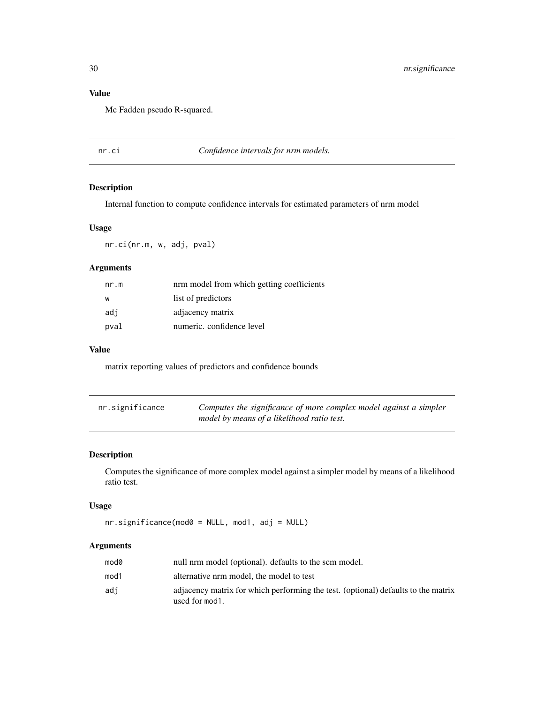# Value

Mc Fadden pseudo R-squared.

nr.ci *Confidence intervals for nrm models.*

# Description

Internal function to compute confidence intervals for estimated parameters of nrm model

#### Usage

nr.ci(nr.m, w, adj, pval)

# Arguments

| nr.m | nrm model from which getting coefficients |
|------|-------------------------------------------|
| W    | list of predictors                        |
| adi  | adjacency matrix                          |
| pval | numeric, confidence level                 |

#### Value

matrix reporting values of predictors and confidence bounds

| nr.significance | Computes the significance of more complex model against a simpler |
|-----------------|-------------------------------------------------------------------|
|                 | model by means of a likelihood ratio test.                        |

# Description

Computes the significance of more complex model against a simpler model by means of a likelihood ratio test.

#### Usage

```
nr.significance(mod0 = NULL, mod1, adj = NULL)
```
#### Arguments

| mod0 | null nrm model (optional). defaults to the scm model.                                               |
|------|-----------------------------------------------------------------------------------------------------|
| mod1 | alternative nrm model, the model to test                                                            |
| adi  | adjacency matrix for which performing the test. (optional) defaults to the matrix<br>used for mod1. |

<span id="page-29-0"></span>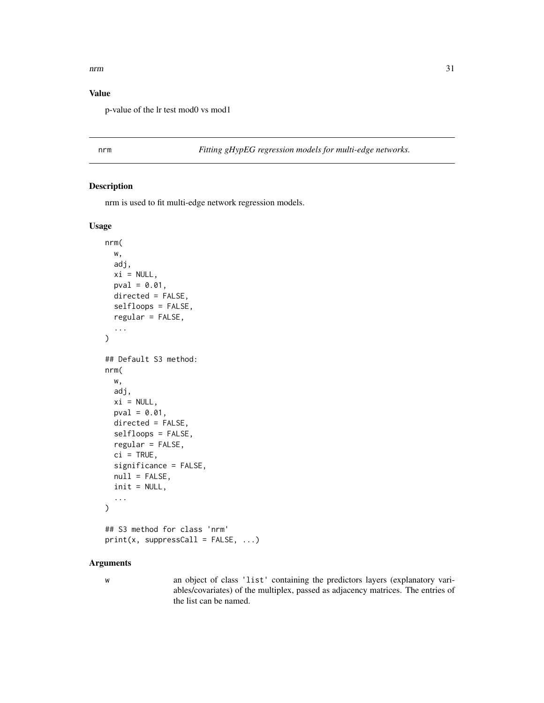#### <span id="page-30-0"></span> $nrm$  31

# Value

p-value of the lr test mod0 vs mod1

<span id="page-30-1"></span>nrm *Fitting gHypEG regression models for multi-edge networks.*

# Description

nrm is used to fit multi-edge network regression models.

#### Usage

```
nrm(
  w,
  adj,
 xi = NULL,pval = 0.01,
 directed = FALSE,
  selfloops = FALSE,
  regular = FALSE,
  ...
\mathcal{L}## Default S3 method:
nrm(
 w,
 adj,
 xi = NULL,pval = 0.01,
  directed = FALSE,
  selfloops = FALSE,
  regular = FALSE,
  ci = TRUE,significance = FALSE,
  null = FALSE,init = NULL,
  ...
\mathcal{L}## S3 method for class 'nrm'
print(x, suppressCall = FALSE, ...)
```
#### Arguments

w an object of class 'list' containing the predictors layers (explanatory variables/covariates) of the multiplex, passed as adjacency matrices. The entries of the list can be named.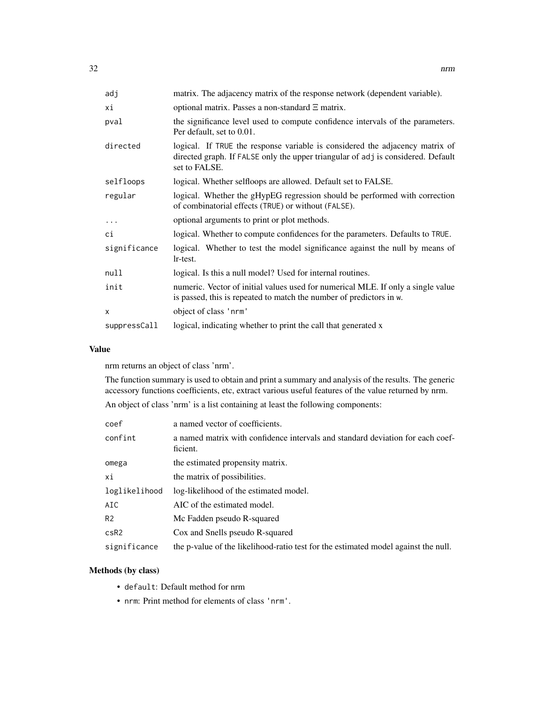| adj          | matrix. The adjacency matrix of the response network (dependent variable).                                                                                                        |
|--------------|-----------------------------------------------------------------------------------------------------------------------------------------------------------------------------------|
| хi           | optional matrix. Passes a non-standard $\Xi$ matrix.                                                                                                                              |
| pval         | the significance level used to compute confidence intervals of the parameters.<br>Per default, set to 0.01.                                                                       |
| directed     | logical. If TRUE the response variable is considered the adjacency matrix of<br>directed graph. If FALSE only the upper triangular of adj is considered. Default<br>set to FALSE. |
| selfloops    | logical. Whether selfloops are allowed. Default set to FALSE.                                                                                                                     |
| regular      | logical. Whether the gHypEG regression should be performed with correction<br>of combinatorial effects (TRUE) or without (FALSE).                                                 |
| $\cdots$     | optional arguments to print or plot methods.                                                                                                                                      |
| ci           | logical. Whether to compute confidences for the parameters. Defaults to TRUE.                                                                                                     |
| significance | logical. Whether to test the model significance against the null by means of<br>lr-test.                                                                                          |
| null         | logical. Is this a null model? Used for internal routines.                                                                                                                        |
| init         | numeric. Vector of initial values used for numerical MLE. If only a single value<br>is passed, this is repeated to match the number of predictors in w.                           |
| X            | object of class 'nrm'                                                                                                                                                             |
| suppressCall | logical, indicating whether to print the call that generated x                                                                                                                    |

#### Value

nrm returns an object of class 'nrm'.

The function summary is used to obtain and print a summary and analysis of the results. The generic accessory functions coefficients, etc, extract various useful features of the value returned by nrm.

An object of class 'nrm' is a list containing at least the following components:

| coef           | a named vector of coefficients.                                                            |
|----------------|--------------------------------------------------------------------------------------------|
| confint        | a named matrix with confidence intervals and standard deviation for each coef-<br>ficient. |
| omega          | the estimated propensity matrix.                                                           |
| хi             | the matrix of possibilities.                                                               |
| loglikelihood  | log-likelihood of the estimated model.                                                     |
| AIC            | AIC of the estimated model.                                                                |
| R <sub>2</sub> | Mc Fadden pseudo R-squared                                                                 |
| $c$ s $R2$     | Cox and Snells pseudo R-squared                                                            |
| significance   | the p-value of the likelihood-ratio test for the estimated model against the null.         |

# Methods (by class)

- default: Default method for nrm
- nrm: Print method for elements of class 'nrm'.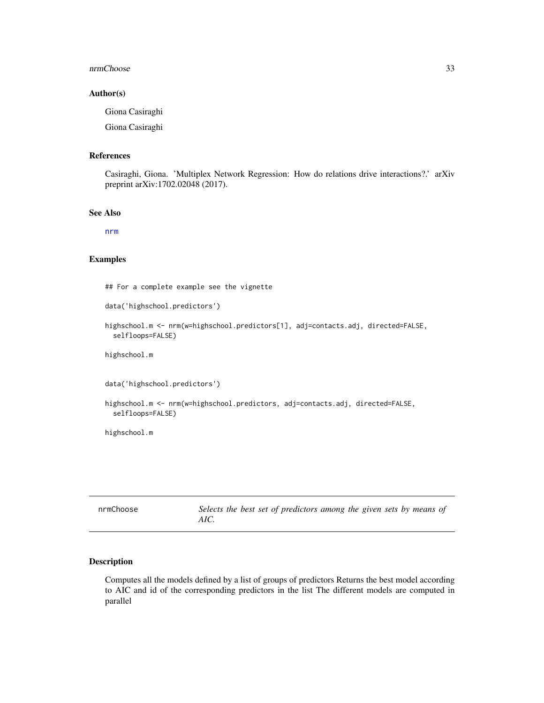#### <span id="page-32-0"></span>nrmChoose 33

#### Author(s)

Giona Casiraghi

Giona Casiraghi

#### References

Casiraghi, Giona. 'Multiplex Network Regression: How do relations drive interactions?.' arXiv preprint arXiv:1702.02048 (2017).

#### See Also

[nrm](#page-30-1)

#### Examples

## For a complete example see the vignette

```
data('highschool.predictors')
```

```
highschool.m <- nrm(w=highschool.predictors[1], adj=contacts.adj, directed=FALSE,
  selfloops=FALSE)
```
highschool.m

data('highschool.predictors')

```
highschool.m <- nrm(w=highschool.predictors, adj=contacts.adj, directed=FALSE,
 selfloops=FALSE)
```
highschool.m

| nrmChoose | Selects the best set of predictors among the given sets by means of |
|-----------|---------------------------------------------------------------------|
|           | AIC.                                                                |

# Description

Computes all the models defined by a list of groups of predictors Returns the best model according to AIC and id of the corresponding predictors in the list The different models are computed in parallel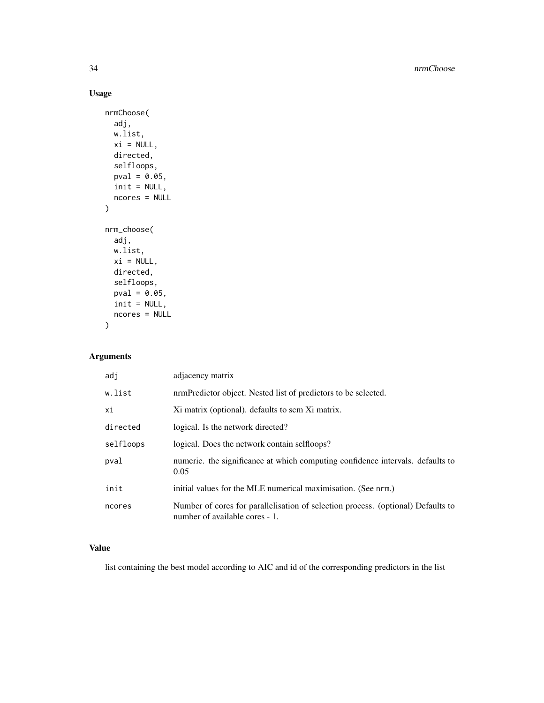34 nrmChoose

# Usage

```
nrmChoose(
  adj,
  w.list,
  xi = NULL,directed,
  selfloops,
  pval = 0.05,
  init = NULL,
  ncores = NULL
)
nrm_choose(
  adj,
  w.list,
  xi = NULL,directed,
  selfloops,
  pval = 0.05,
  init = NULL,ncores = NULL
)
```
# Arguments

| adj       | adjacency matrix                                                                                                   |
|-----------|--------------------------------------------------------------------------------------------------------------------|
| w.list    | nrmPredictor object. Nested list of predictors to be selected.                                                     |
| хi        | Xi matrix (optional). defaults to scm Xi matrix.                                                                   |
| directed  | logical. Is the network directed?                                                                                  |
| selfloops | logical. Does the network contain selfloops?                                                                       |
| pval      | numeric, the significance at which computing confidence intervals, defaults to<br>0.05                             |
| init      | initial values for the MLE numerical maximisation. (See nrm.)                                                      |
| ncores    | Number of cores for parallelisation of selection process. (optional) Defaults to<br>number of available cores - 1. |

# Value

list containing the best model according to AIC and id of the corresponding predictors in the list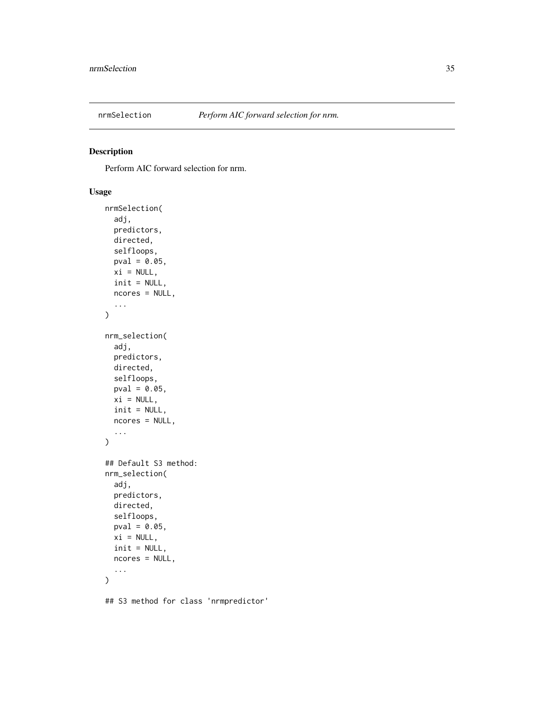<span id="page-34-1"></span><span id="page-34-0"></span>

Perform AIC forward selection for nrm.

# Usage

```
nrmSelection(
  adj,
 predictors,
 directed,
  selfloops,
 pval = 0.05,
 xi = NULL,init = NULL,
 ncores = NULL,
  ...
)
nrm_selection(
  adj,
 predictors,
 directed,
  selfloops,
 pval = 0.05,
 xi = NULL,init = NULL,
 ncores = NULL,
  ...
)
## Default S3 method:
nrm_selection(
  adj,
 predictors,
 directed,
  selfloops,
 pval = 0.05,
 xi = NULL,init = NULL,
 ncores = NULL,
  ...
)
```
## S3 method for class 'nrmpredictor'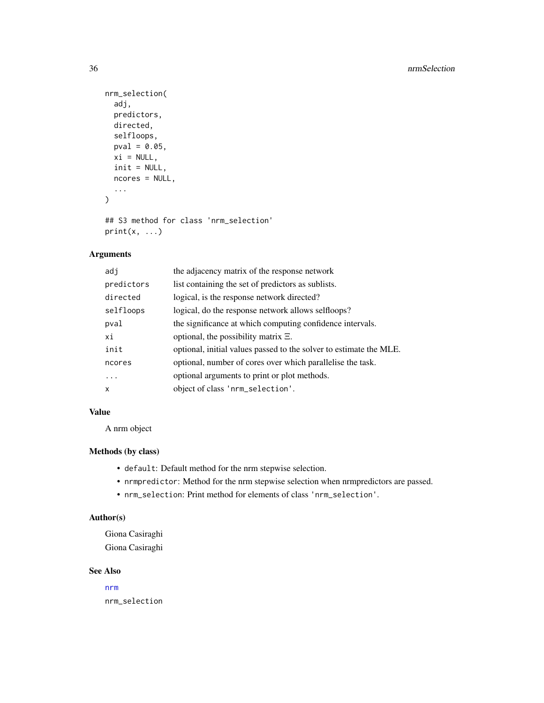```
nrm_selection(
  adj,
  predictors,
  directed,
  selfloops,
  pval = 0.05,
  xi = NULL,init = NULL,
  ncores = NULL,
  ...
\mathcal{L}
```

```
## S3 method for class 'nrm_selection'
print(x, \ldots)
```
# Arguments

| adi        | the adjacency matrix of the response network                       |
|------------|--------------------------------------------------------------------|
| predictors | list containing the set of predictors as sublists.                 |
| directed   | logical, is the response network directed?                         |
| selfloops  | logical, do the response network allows selfloops?                 |
| pval       | the significance at which computing confidence intervals.          |
| хi         | optional, the possibility matrix $\Xi$ .                           |
| init       | optional, initial values passed to the solver to estimate the MLE. |
| ncores     | optional, number of cores over which parallelise the task.         |
| .          | optional arguments to print or plot methods.                       |
| X          | object of class 'nrm_selection'.                                   |

# Value

A nrm object

#### Methods (by class)

- default: Default method for the nrm stepwise selection.
- nrmpredictor: Method for the nrm stepwise selection when nrmpredictors are passed.
- nrm\_selection: Print method for elements of class 'nrm\_selection'.

# Author(s)

Giona Casiraghi Giona Casiraghi

# See Also

[nrm](#page-30-1) nrm\_selection

<span id="page-35-0"></span>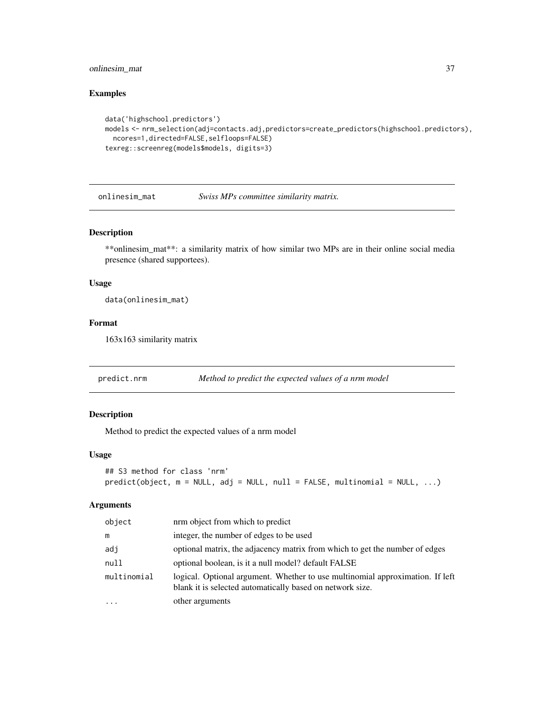# <span id="page-36-0"></span>onlinesim\_mat 37

#### Examples

```
data('highschool.predictors')
models <- nrm_selection(adj=contacts.adj,predictors=create_predictors(highschool.predictors),
 ncores=1,directed=FALSE,selfloops=FALSE)
texreg::screenreg(models$models, digits=3)
```
onlinesim\_mat *Swiss MPs committee similarity matrix.*

#### Description

\*\*onlinesim\_mat\*\*: a similarity matrix of how similar two MPs are in their online social media presence (shared supportees).

#### Usage

data(onlinesim\_mat)

#### Format

163x163 similarity matrix

predict.nrm *Method to predict the expected values of a nrm model*

# Description

Method to predict the expected values of a nrm model

# Usage

```
## S3 method for class 'nrm'
predict(object, m = NULL, adj = NULL, null = FALSE, multinomial = NULL, ...)
```
#### Arguments

| object      | nrm object from which to predict                                                                                                           |
|-------------|--------------------------------------------------------------------------------------------------------------------------------------------|
| m           | integer, the number of edges to be used                                                                                                    |
| adj         | optional matrix, the adjacency matrix from which to get the number of edges                                                                |
| null        | optional boolean, is it a null model? default FALSE                                                                                        |
| multinomial | logical. Optional argument. Whether to use multinomial approximation. If left<br>blank it is selected automatically based on network size. |
| $\cdots$    | other arguments                                                                                                                            |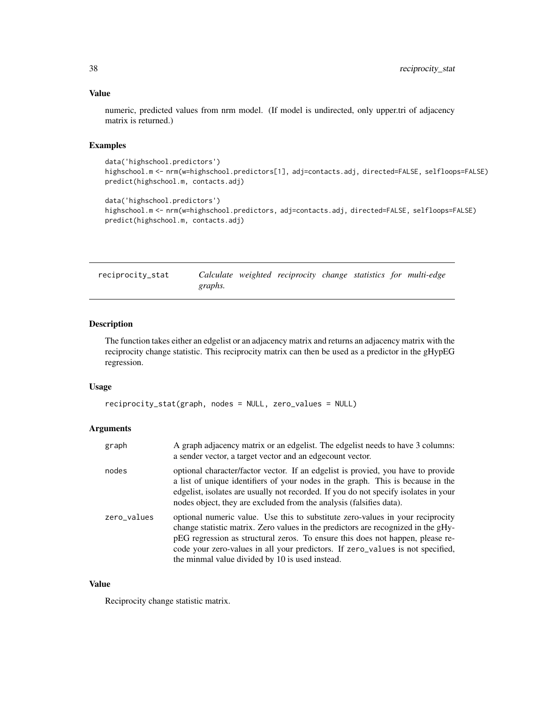#### Value

numeric, predicted values from nrm model. (If model is undirected, only upper.tri of adjacency matrix is returned.)

#### Examples

```
data('highschool.predictors')
highschool.m <- nrm(w=highschool.predictors[1], adj=contacts.adj, directed=FALSE, selfloops=FALSE)
predict(highschool.m, contacts.adj)
```

```
data('highschool.predictors')
highschool.m <- nrm(w=highschool.predictors, adj=contacts.adj, directed=FALSE, selfloops=FALSE)
predict(highschool.m, contacts.adj)
```
<span id="page-37-1"></span>

| reciprocity_stat |         | Calculate weighted reciprocity change statistics for multi-edge |  |  |
|------------------|---------|-----------------------------------------------------------------|--|--|
|                  | graphs. |                                                                 |  |  |

#### Description

The function takes either an edgelist or an adjacency matrix and returns an adjacency matrix with the reciprocity change statistic. This reciprocity matrix can then be used as a predictor in the gHypEG regression.

#### Usage

```
reciprocity_stat(graph, nodes = NULL, zero_values = NULL)
```
#### Arguments

| graph       | A graph adjacency matrix or an edgelist. The edgelist needs to have 3 columns:<br>a sender vector, a target vector and an edgecount vector.                                                                                                                                                                                                                                                |
|-------------|--------------------------------------------------------------------------------------------------------------------------------------------------------------------------------------------------------------------------------------------------------------------------------------------------------------------------------------------------------------------------------------------|
| nodes       | optional character/factor vector. If an edgelist is provided, you have to provide<br>a list of unique identifiers of your nodes in the graph. This is because in the<br>edgelist, isolates are usually not recorded. If you do not specify isolates in your<br>nodes object, they are excluded from the analysis (falsifies data).                                                         |
| zero_values | optional numeric value. Use this to substitute zero-values in your reciprocity<br>change statistic matrix. Zero values in the predictors are recognized in the gHy-<br>pEG regression as structural zeros. To ensure this does not happen, please re-<br>code your zero-values in all your predictors. If zero_values is not specified,<br>the minmal value divided by 10 is used instead. |

#### Value

Reciprocity change statistic matrix.

<span id="page-37-0"></span>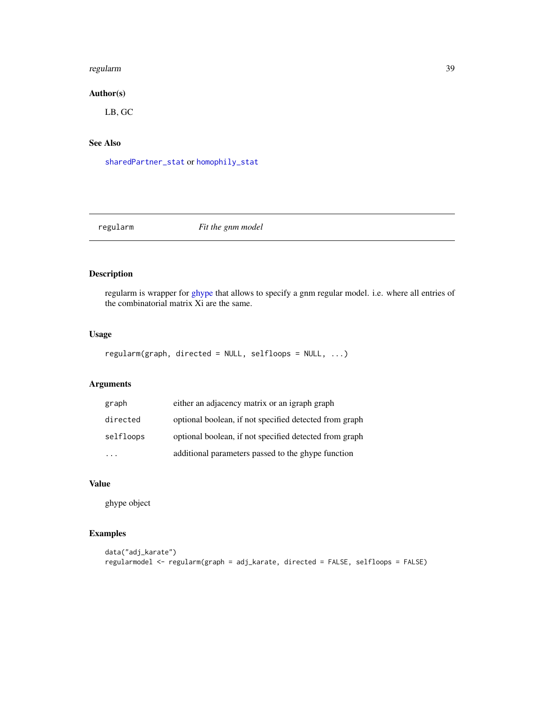#### <span id="page-38-0"></span>regularm 39

# Author(s)

LB, GC

# See Also

[sharedPartner\\_stat](#page-42-1) or [homophily\\_stat](#page-20-1)

regularm *Fit the gnm model*

# Description

regularm is wrapper for [ghype](#page-15-1) that allows to specify a gnm regular model. i.e. where all entries of the combinatorial matrix Xi are the same.

# Usage

```
regularm(graph, directed = NULL, selfloops = NULL, ...)
```
# Arguments

| graph     | either an adjacency matrix or an igraph graph          |
|-----------|--------------------------------------------------------|
| directed  | optional boolean, if not specified detected from graph |
| selfloops | optional boolean, if not specified detected from graph |
|           | additional parameters passed to the ghype function     |

# Value

ghype object

# Examples

```
data("adj_karate")
regularmodel <- regularm(graph = adj_karate, directed = FALSE, selfloops = FALSE)
```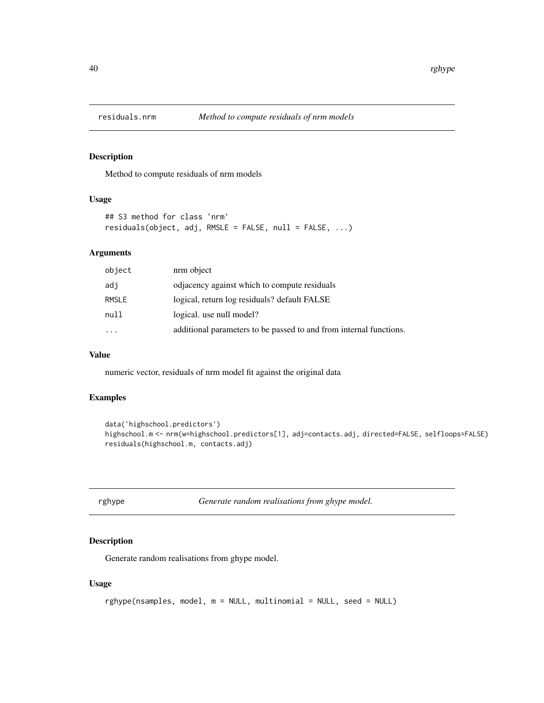<span id="page-39-0"></span>

Method to compute residuals of nrm models

#### Usage

```
## S3 method for class 'nrm'
residuals(object, adj, RMSLE = FALSE, null = FALSE, ...)
```
#### Arguments

| object    | nrm object                                                         |
|-----------|--------------------------------------------------------------------|
| adi       | odiacency against which to compute residuals                       |
| RMSLE     | logical, return log residuals? default FALSE                       |
| null      | logical. use null model?                                           |
| $\ddotsc$ | additional parameters to be passed to and from internal functions. |

#### Value

numeric vector, residuals of nrm model fit against the original data

#### Examples

```
data('highschool.predictors')
highschool.m <- nrm(w=highschool.predictors[1], adj=contacts.adj, directed=FALSE, selfloops=FALSE)
residuals(highschool.m, contacts.adj)
```

|  | gnype |  |
|--|-------|--|
|--|-------|--|

Generate random realisations from ghype model.

# Description

Generate random realisations from ghype model.

#### Usage

```
rghype(nsamples, model, m = NULL, multinomial = NULL, seed = NULL)
```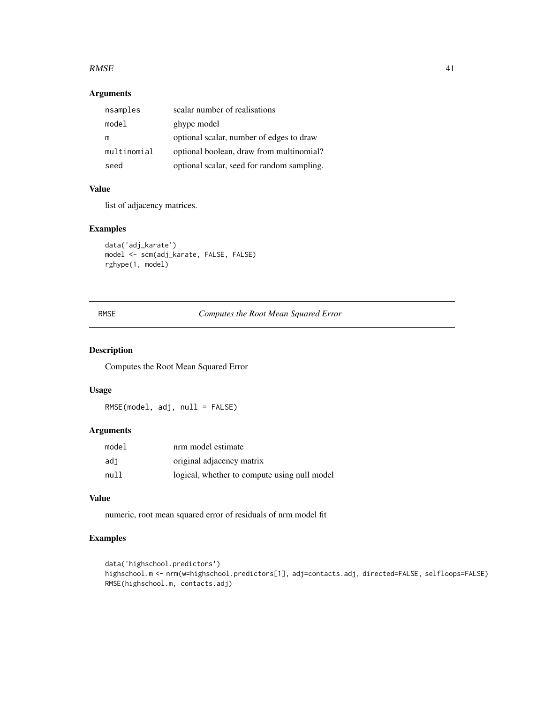#### <span id="page-40-0"></span> $RMSE$  41

# Arguments

| nsamples    | scalar number of realisations              |
|-------------|--------------------------------------------|
| model       | ghype model                                |
| m           | optional scalar, number of edges to draw   |
| multinomial | optional boolean, draw from multinomial?   |
| seed        | optional scalar, seed for random sampling. |

#### Value

list of adjacency matrices.

# Examples

```
data('adj_karate')
model <- scm(adj_karate, FALSE, FALSE)
rghype(1, model)
```
RMSE *Computes the Root Mean Squared Error*

# Description

Computes the Root Mean Squared Error

# Usage

RMSE(model, adj, null = FALSE)

# Arguments

| model | nrm model estimate                           |
|-------|----------------------------------------------|
| adi   | original adjacency matrix                    |
| null  | logical, whether to compute using null model |

# Value

numeric, root mean squared error of residuals of nrm model fit

#### Examples

```
data('highschool.predictors')
highschool.m <- nrm(w=highschool.predictors[1], adj=contacts.adj, directed=FALSE, selfloops=FALSE)
RMSE(highschool.m, contacts.adj)
```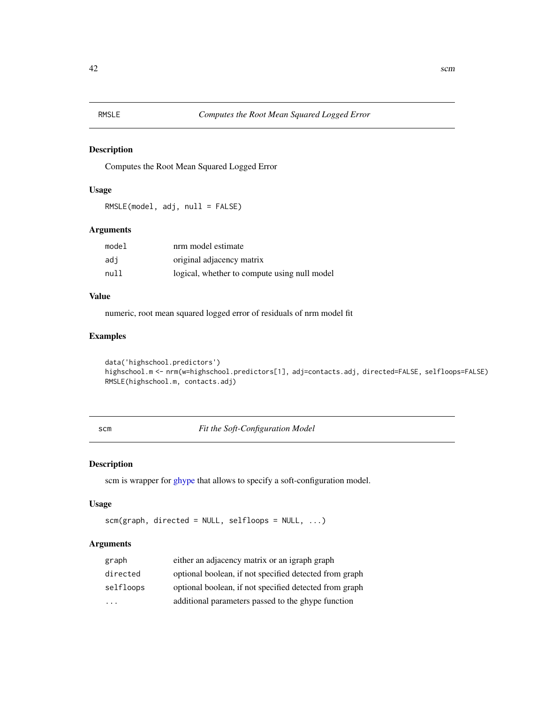<span id="page-41-0"></span>

Computes the Root Mean Squared Logged Error

# Usage

RMSLE(model, adj, null = FALSE)

# Arguments

| model | nrm model estimate                           |
|-------|----------------------------------------------|
| adi   | original adjacency matrix                    |
| null  | logical, whether to compute using null model |

# Value

numeric, root mean squared logged error of residuals of nrm model fit

# Examples

```
data('highschool.predictors')
highschool.m <- nrm(w=highschool.predictors[1], adj=contacts.adj, directed=FALSE, selfloops=FALSE)
RMSLE(highschool.m, contacts.adj)
```
scm *Fit the Soft-Configuration Model*

#### Description

scm is wrapper for [ghype](#page-15-1) that allows to specify a soft-configuration model.

#### Usage

```
scm(graph, directed = NULL, selfloops = NULL, ...)
```
# Arguments

| graph                   | either an adjacency matrix or an igraph graph          |
|-------------------------|--------------------------------------------------------|
| directed                | optional boolean, if not specified detected from graph |
| selfloops               | optional boolean, if not specified detected from graph |
| $\cdot$ $\cdot$ $\cdot$ | additional parameters passed to the ghype function     |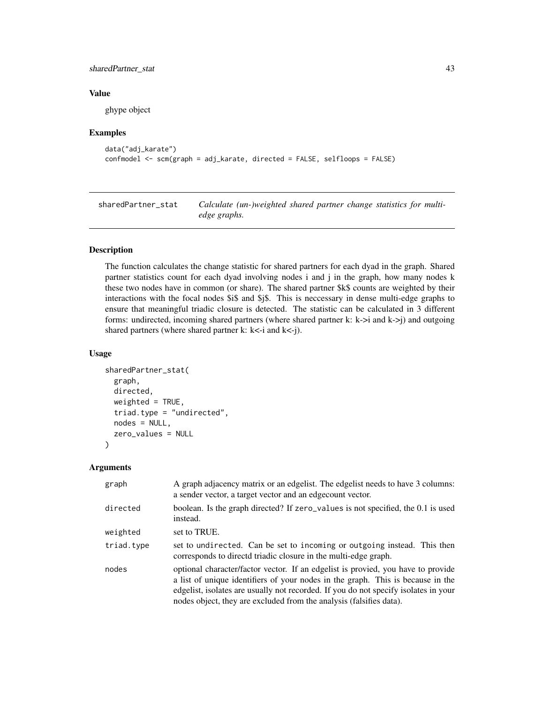#### <span id="page-42-0"></span>sharedPartner\_stat 43

#### Value

ghype object

#### Examples

```
data("adj_karate")
confmodel <- scm(graph = adj_karate, directed = FALSE, selfloops = FALSE)
```
<span id="page-42-1"></span>sharedPartner\_stat *Calculate (un-)weighted shared partner change statistics for multiedge graphs.*

# Description

The function calculates the change statistic for shared partners for each dyad in the graph. Shared partner statistics count for each dyad involving nodes i and j in the graph, how many nodes k these two nodes have in common (or share). The shared partner \$k\$ counts are weighted by their interactions with the focal nodes \$i\$ and \$j\$. This is neccessary in dense multi-edge graphs to ensure that meaningful triadic closure is detected. The statistic can be calculated in 3 different forms: undirected, incoming shared partners (where shared partner k: k->i and k->j) and outgoing shared partners (where shared partner k:  $k < -i$  and  $k < -j$ ).

#### Usage

```
sharedPartner_stat(
  graph,
  directed,
 weighted = TRUE,
  triad.type = "undirected",
  nodes = NULL,
  zero_values = NULL
)
```
#### Arguments

| graph      | A graph adjacency matrix or an edgelist. The edgelist needs to have 3 columns:<br>a sender vector, a target vector and an edge count vector.                                                                                                                                                                                      |
|------------|-----------------------------------------------------------------------------------------------------------------------------------------------------------------------------------------------------------------------------------------------------------------------------------------------------------------------------------|
| directed   | boolean. Is the graph directed? If zero_values is not specified, the 0.1 is used<br>instead.                                                                                                                                                                                                                                      |
| weighted   | set to TRUE.                                                                                                                                                                                                                                                                                                                      |
| triad.type | set to undirected. Can be set to incoming or outgoing instead. This then<br>corresponds to directd triadic closure in the multi-edge graph.                                                                                                                                                                                       |
| nodes      | optional character/factor vector. If an edgelist is provied, you have to provide<br>a list of unique identifiers of your nodes in the graph. This is because in the<br>edgelist, isolates are usually not recorded. If you do not specify isolates in your<br>nodes object, they are excluded from the analysis (falsifies data). |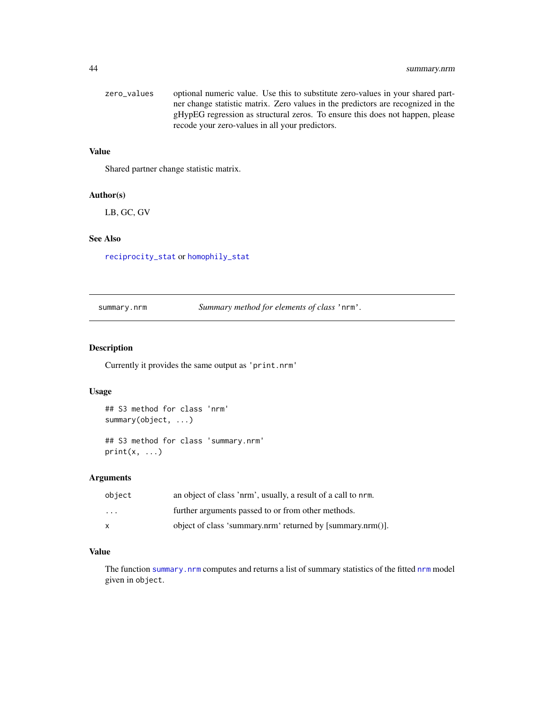# <span id="page-43-0"></span>44 summary.nrm

| zero values | optional numeric value. Use this to substitute zero-values in your shared part-  |
|-------------|----------------------------------------------------------------------------------|
|             | ner change statistic matrix. Zero values in the predictors are recognized in the |
|             | gHypEG regression as structural zeros. To ensure this does not happen, please    |
|             | recode your zero-values in all your predictors.                                  |

# Value

Shared partner change statistic matrix.

# Author(s)

LB, GC, GV

#### See Also

[reciprocity\\_stat](#page-37-1) or [homophily\\_stat](#page-20-1)

<span id="page-43-1"></span>summary.nrm *Summary method for elements of class* 'nrm'*.*

# Description

Currently it provides the same output as 'print.nrm'

#### Usage

```
## S3 method for class 'nrm'
summary(object, ...)
## S3 method for class 'summary.nrm'
print(x, \ldots)
```
# Arguments

| object                  | an object of class 'nrm', usually, a result of a call to nrm. |
|-------------------------|---------------------------------------------------------------|
| $\cdot$ $\cdot$ $\cdot$ | further arguments passed to or from other methods.            |
| x                       | object of class 'summary.nrm' returned by [summary.nrm()].    |

# Value

The function [summary.nrm](#page-43-1) computes and returns a list of summary statistics of the fitted [nrm](#page-30-1) model given in object.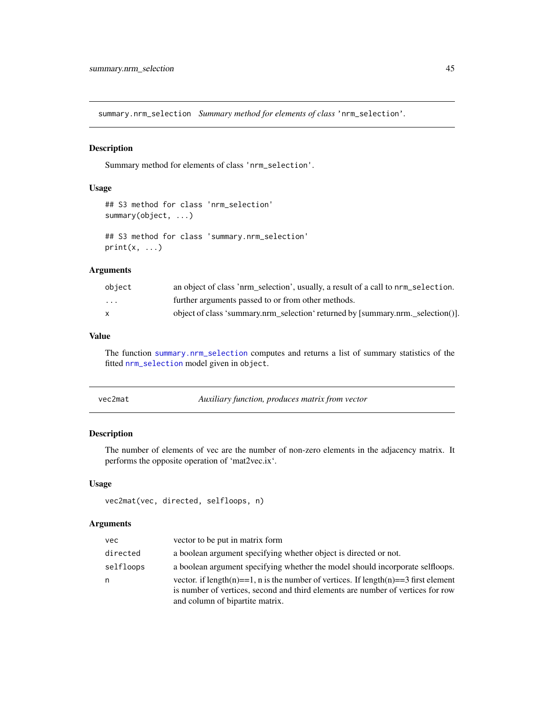<span id="page-44-1"></span><span id="page-44-0"></span>summary.nrm\_selection *Summary method for elements of class* 'nrm\_selection'*.*

#### Description

Summary method for elements of class 'nrm\_selection'.

#### Usage

```
## S3 method for class 'nrm_selection'
summary(object, ...)
## S3 method for class 'summary.nrm_selection'
print(x, \ldots)
```
#### Arguments

| object                  | an object of class 'nrm_selection', usually, a result of a call to nrm_selection. |
|-------------------------|-----------------------------------------------------------------------------------|
| $\cdot$ $\cdot$ $\cdot$ | further arguments passed to or from other methods.                                |
|                         | object of class 'summary.nrm selection' returned by [summary.nrm. selection()].   |

# Value

The function [summary.nrm\\_selection](#page-44-1) computes and returns a list of summary statistics of the fitted [nrm\\_selection](#page-34-1) model given in object.

| vec2mat | Auxiliary function, produces matrix from vector |
|---------|-------------------------------------------------|
|---------|-------------------------------------------------|

# Description

The number of elements of vec are the number of non-zero elements in the adjacency matrix. It performs the opposite operation of 'mat2vec.ix'.

# Usage

```
vec2mat(vec, directed, selfloops, n)
```
#### Arguments

| vec       | vector to be put in matrix form                                                                                                                                        |
|-----------|------------------------------------------------------------------------------------------------------------------------------------------------------------------------|
| directed  | a boolean argument specifying whether object is directed or not.                                                                                                       |
| selfloops | a boolean argument specifying whether the model should incorporate selfloops.                                                                                          |
| n         | vector. if length(n)==1, n is the number of vertices. If length(n)==3 first element<br>is number of vertices, second and third elements are number of vertices for row |
|           | and column of bipartite matrix.                                                                                                                                        |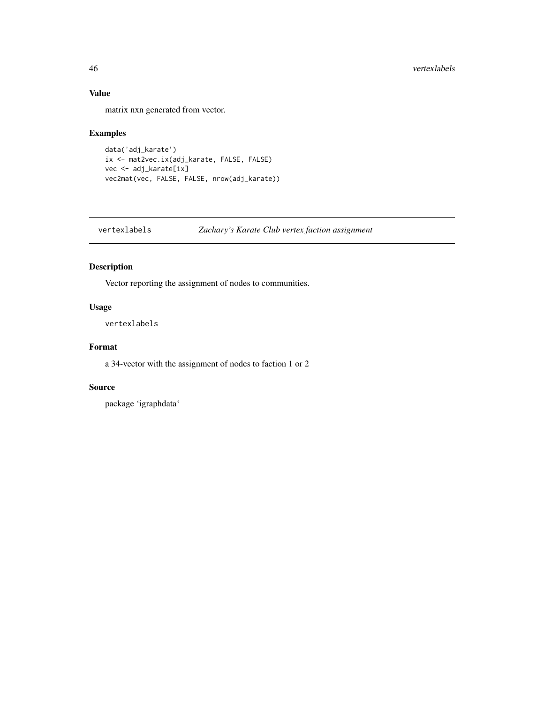# Value

matrix nxn generated from vector.

# Examples

```
data('adj_karate')
ix <- mat2vec.ix(adj_karate, FALSE, FALSE)
vec <- adj_karate[ix]
vec2mat(vec, FALSE, FALSE, nrow(adj_karate))
```
vertexlabels *Zachary's Karate Club vertex faction assignment*

# Description

Vector reporting the assignment of nodes to communities.

#### Usage

vertexlabels

# Format

a 34-vector with the assignment of nodes to faction 1 or 2

#### Source

package 'igraphdata'

<span id="page-45-0"></span>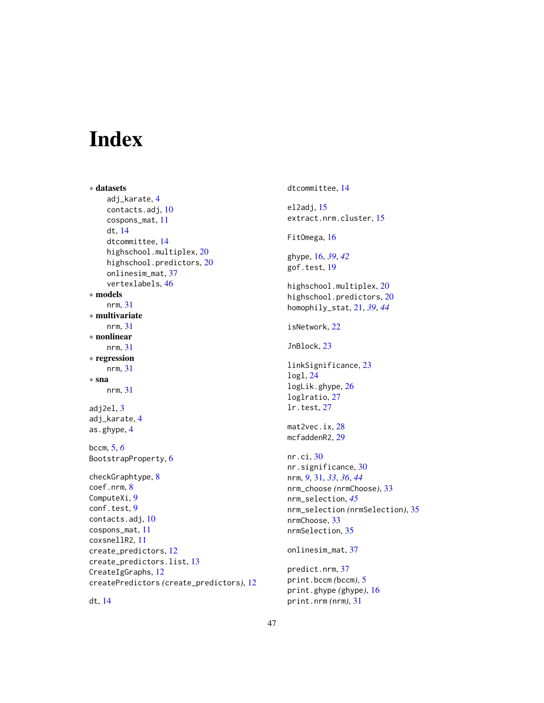# <span id="page-46-0"></span>Index

dt, [14](#page-13-0)

```
∗ datasets
    adj_karate, 4
    contacts.adj, 10
    cospons_mat, 11
    dt, 14
    dtcommittee, 14
    highschool.multiplex, 20
    highschool.predictors, 20
    onlinesim_mat, 37
    vertexlabels, 46
∗ models
    nrm, 31
∗ multivariate
    nrm, 31
∗ nonlinear
    nrm, 31
∗ regression
    nrm, 31
∗ sna
    nrm, 31
adj3adj_karate, 4
as.ghype, 4
bccm, 5, 6
BootstrapProperty, 6
checkGraphtype, 8
coef.nrm, 8
ComputeXi, 9
9
contacts.adj, 10
cospons_mat, 11
coxsnellR2, 11
create_predictors, 12
create_predictors.list, 13
CreateIgGraphs, 12
createPredictors (create_predictors), 12
```
dtcommittee, [14](#page-13-0) el2adj, [15](#page-14-0) extract.nrm.cluster, [15](#page-14-0) FitOmega, [16](#page-15-0) ghype, [16,](#page-15-0) *[39](#page-38-0)*, *[42](#page-41-0)* gof.test, [19](#page-18-0) highschool.multiplex, [20](#page-19-0) highschool.predictors, [20](#page-19-0) homophily\_stat, [21,](#page-20-0) *[39](#page-38-0)*, *[44](#page-43-0)* isNetwork, [22](#page-21-0) JnBlock, [23](#page-22-0) linkSignificance, [23](#page-22-0) logl, [24](#page-23-0) logLik.ghype, [26](#page-25-0) loglratio, [27](#page-26-0) lr.test, [27](#page-26-0) mat2vec.ix, [28](#page-27-0) mcfaddenR2, [29](#page-28-0) nr.ci, [30](#page-29-0) nr.significance, [30](#page-29-0) nrm, *[9](#page-8-0)*, [31,](#page-30-0) *[33](#page-32-0)*, *[36](#page-35-0)*, *[44](#page-43-0)* nrm\_choose *(*nrmChoose*)*, [33](#page-32-0) nrm\_selection, *[45](#page-44-0)* nrm\_selection *(*nrmSelection*)*, [35](#page-34-0) nrmChoose, [33](#page-32-0) nrmSelection, [35](#page-34-0) onlinesim\_mat, [37](#page-36-0) predict.nrm, [37](#page-36-0)

print.bccm *(*bccm*)*, [5](#page-4-0) print.ghype *(*ghype*)*, [16](#page-15-0) print.nrm *(*nrm*)*, [31](#page-30-0)